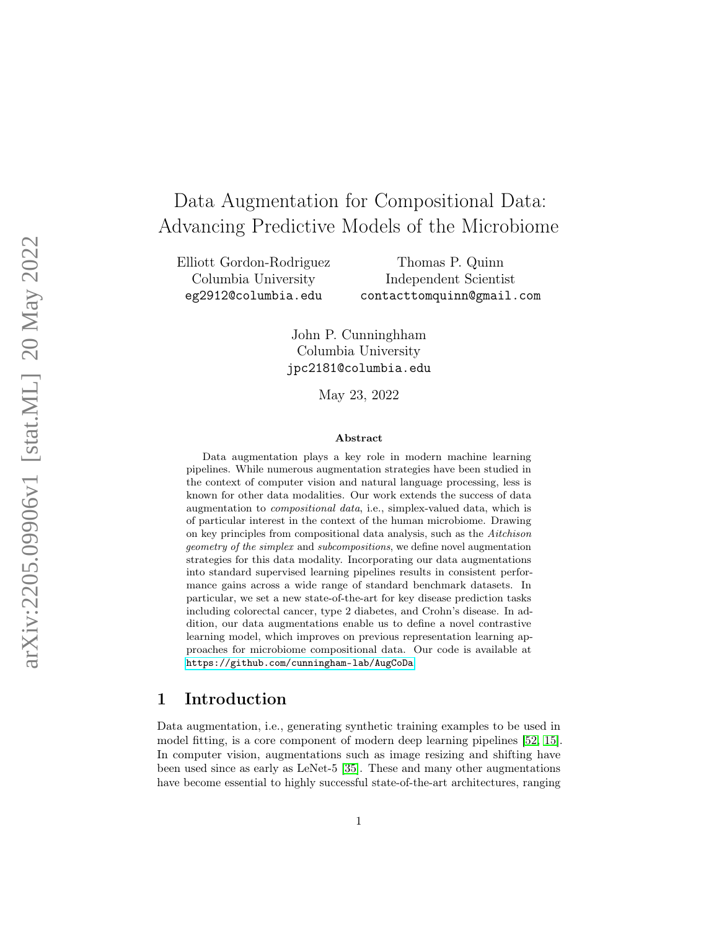# Data Augmentation for Compositional Data: Advancing Predictive Models of the Microbiome

Elliott Gordon-Rodriguez Columbia University eg2912@columbia.edu

Thomas P. Quinn Independent Scientist contacttomquinn@gmail.com

John P. Cunninghham Columbia University jpc2181@columbia.edu

May 23, 2022

#### Abstract

Data augmentation plays a key role in modern machine learning pipelines. While numerous augmentation strategies have been studied in the context of computer vision and natural language processing, less is known for other data modalities. Our work extends the success of data augmentation to compositional data, i.e., simplex-valued data, which is of particular interest in the context of the human microbiome. Drawing on key principles from compositional data analysis, such as the Aitchison geometry of the simplex and subcompositions, we define novel augmentation strategies for this data modality. Incorporating our data augmentations into standard supervised learning pipelines results in consistent performance gains across a wide range of standard benchmark datasets. In particular, we set a new state-of-the-art for key disease prediction tasks including colorectal cancer, type 2 diabetes, and Crohn's disease. In addition, our data augmentations enable us to define a novel contrastive learning model, which improves on previous representation learning approaches for microbiome compositional data. Our code is available at <https://github.com/cunningham-lab/AugCoDa> .

#### 1 Introduction

Data augmentation, i.e., generating synthetic training examples to be used in model fitting, is a core component of modern deep learning pipelines [\[52](#page-17-0) , [15\]](#page-14-0). In computer vision, augmentations such as image resizing and shifting have been used since as early as LeNet-5 [\[35\]](#page-15-0). These and many other augmentations have become essential to highly successful state-of-the-art architectures, ranging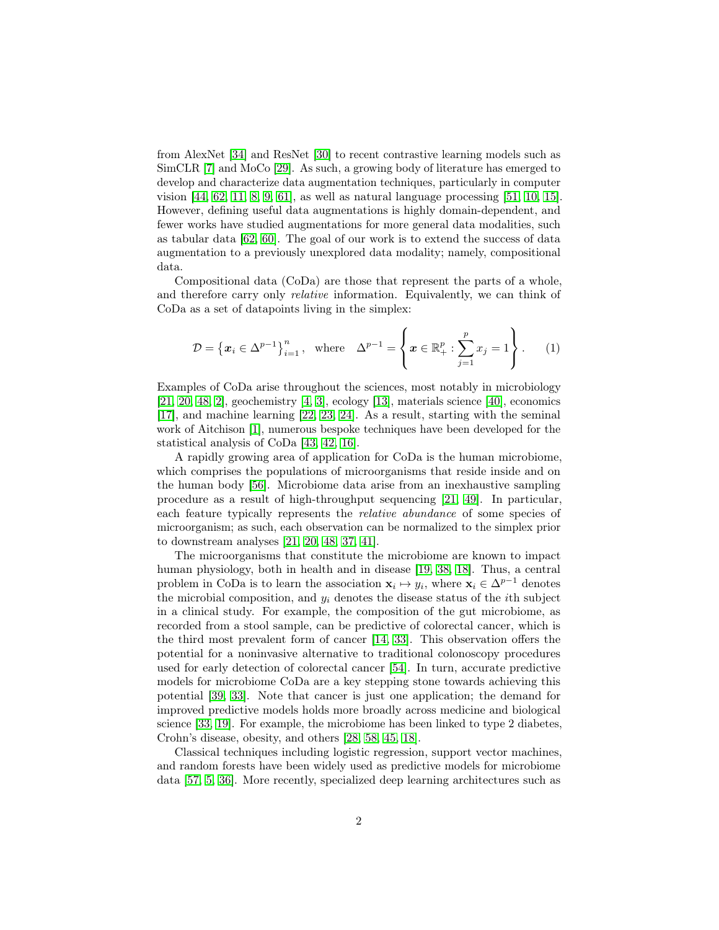from AlexNet [\[34\]](#page-15-1) and ResNet [\[30\]](#page-15-2) to recent contrastive learning models such as SimCLR [\[7\]](#page-13-0) and MoCo [\[29\]](#page-15-3). As such, a growing body of literature has emerged to develop and characterize data augmentation techniques, particularly in computer vision [\[44,](#page-16-0) [62,](#page-18-0) [11,](#page-14-1) [8,](#page-13-1) [9,](#page-13-2) [61\]](#page-18-1), as well as natural language processing [\[51,](#page-17-1) [10,](#page-13-3) [15\]](#page-14-0). However, defining useful data augmentations is highly domain-dependent, and fewer works have studied augmentations for more general data modalities, such as tabular data [\[62,](#page-18-0) [60\]](#page-17-2). The goal of our work is to extend the success of data augmentation to a previously unexplored data modality; namely, compositional data.

Compositional data (CoDa) are those that represent the parts of a whole, and therefore carry only *relative* information. Equivalently, we can think of CoDa as a set of datapoints living in the simplex:

$$
\mathcal{D} = \left\{ \boldsymbol{x}_i \in \Delta^{p-1} \right\}_{i=1}^n, \quad \text{where} \quad \Delta^{p-1} = \left\{ \boldsymbol{x} \in \mathbb{R}_+^p : \sum_{j=1}^p x_j = 1 \right\}. \tag{1}
$$

Examples of CoDa arise throughout the sciences, most notably in microbiology [\[21,](#page-14-2) [20,](#page-14-3) [48,](#page-16-1) [2\]](#page-13-4), geochemistry [\[4,](#page-13-5) [3\]](#page-13-6), ecology [\[13\]](#page-14-4), materials science [\[40\]](#page-16-2), economics [\[17\]](#page-14-5), and machine learning [\[22,](#page-14-6) [23,](#page-14-7) [24\]](#page-15-4). As a result, starting with the seminal work of Aitchison [\[1\]](#page-13-7), numerous bespoke techniques have been developed for the statistical analysis of CoDa [\[43,](#page-16-3) [42,](#page-16-4) [16\]](#page-14-8).

A rapidly growing area of application for CoDa is the human microbiome, which comprises the populations of microorganisms that reside inside and on the human body [\[56\]](#page-17-3). Microbiome data arise from an inexhaustive sampling procedure as a result of high-throughput sequencing [\[21,](#page-14-2) [49\]](#page-17-4). In particular, each feature typically represents the *relative abundance* of some species of microorganism; as such, each observation can be normalized to the simplex prior to downstream analyses [\[21,](#page-14-2) [20,](#page-14-3) [48,](#page-16-1) [37,](#page-16-5) [41\]](#page-16-6).

The microorganisms that constitute the microbiome are known to impact human physiology, both in health and in disease [\[19,](#page-14-9) [38,](#page-16-7) [18\]](#page-14-10). Thus, a central problem in CoDa is to learn the association  $\mathbf{x}_i \mapsto y_i$ , where  $\mathbf{x}_i \in \Delta^{p-1}$  denotes the microbial composition, and  $y_i$  denotes the disease status of the *i*th subject in a clinical study. For example, the composition of the gut microbiome, as recorded from a stool sample, can be predictive of colorectal cancer, which is the third most prevalent form of cancer [\[14,](#page-14-11) [33\]](#page-15-5). This observation offers the potential for a noninvasive alternative to traditional colonoscopy procedures used for early detection of colorectal cancer [\[54\]](#page-17-5). In turn, accurate predictive models for microbiome CoDa are a key stepping stone towards achieving this potential [\[39,](#page-16-8) [33\]](#page-15-5). Note that cancer is just one application; the demand for improved predictive models holds more broadly across medicine and biological science [\[33,](#page-15-5) [19\]](#page-14-9). For example, the microbiome has been linked to type 2 diabetes, Crohn's disease, obesity, and others [\[28,](#page-15-6) [58,](#page-17-6) [45,](#page-16-9) [18\]](#page-14-10).

Classical techniques including logistic regression, support vector machines, and random forests have been widely used as predictive models for microbiome data [\[57,](#page-17-7) [5,](#page-13-8) [36\]](#page-16-10). More recently, specialized deep learning architectures such as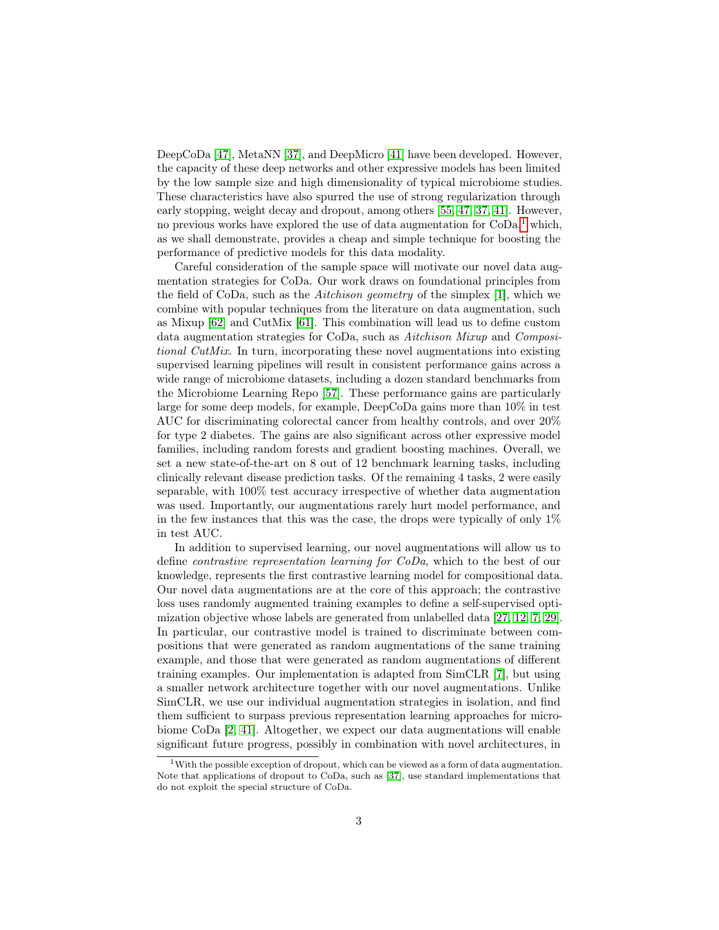DeepCoDa [\[47\]](#page-16-11), MetaNN [\[37\]](#page-16-5), and DeepMicro [\[41\]](#page-16-6) have been developed. However, the capacity of these deep networks and other expressive models has been limited by the low sample size and high dimensionality of typical microbiome studies. These characteristics have also spurred the use of strong regularization through early stopping, weight decay and dropout, among others [\[55,](#page-17-8) [47,](#page-16-11) [37,](#page-16-5) [41\]](#page-16-6). However, no previous works have explored the use of data augmentation for  $CoDa<sup>1</sup>$  $CoDa<sup>1</sup>$  $CoDa<sup>1</sup>$  which, as we shall demonstrate, provides a cheap and simple technique for boosting the performance of predictive models for this data modality.

Careful consideration of the sample space will motivate our novel data augmentation strategies for CoDa. Our work draws on foundational principles from the field of CoDa, such as the *Aitchison geometry* of the simplex [\[1\]](#page-13-7), which we combine with popular techniques from the literature on data augmentation, such as Mixup [\[62\]](#page-18-0) and CutMix [\[61\]](#page-18-1). This combination will lead us to define custom data augmentation strategies for CoDa, such as Aitchison Mixup and Compositional CutMix. In turn, incorporating these novel augmentations into existing supervised learning pipelines will result in consistent performance gains across a wide range of microbiome datasets, including a dozen standard benchmarks from the Microbiome Learning Repo [\[57\]](#page-17-7). These performance gains are particularly large for some deep models, for example, DeepCoDa gains more than 10% in test AUC for discriminating colorectal cancer from healthy controls, and over 20% for type 2 diabetes. The gains are also significant across other expressive model families, including random forests and gradient boosting machines. Overall, we set a new state-of-the-art on 8 out of 12 benchmark learning tasks, including clinically relevant disease prediction tasks. Of the remaining 4 tasks, 2 were easily separable, with 100% test accuracy irrespective of whether data augmentation was used. Importantly, our augmentations rarely hurt model performance, and in the few instances that this was the case, the drops were typically of only  $1\%$ in test AUC.

In addition to supervised learning, our novel augmentations will allow us to define contrastive representation learning for CoDa, which to the best of our knowledge, represents the first contrastive learning model for compositional data. Our novel data augmentations are at the core of this approach; the contrastive loss uses randomly augmented training examples to define a self-supervised optimization objective whose labels are generated from unlabelled data [\[27,](#page-15-7) [12,](#page-14-12) [7,](#page-13-0) [29\]](#page-15-3). In particular, our contrastive model is trained to discriminate between compositions that were generated as random augmentations of the same training example, and those that were generated as random augmentations of different training examples. Our implementation is adapted from SimCLR [\[7\]](#page-13-0), but using a smaller network architecture together with our novel augmentations. Unlike SimCLR, we use our individual augmentation strategies in isolation, and find them sufficient to surpass previous representation learning approaches for microbiome CoDa [\[2,](#page-13-4) [41\]](#page-16-6). Altogether, we expect our data augmentations will enable significant future progress, possibly in combination with novel architectures, in

<span id="page-2-0"></span><sup>&</sup>lt;sup>1</sup>With the possible exception of dropout, which can be viewed as a form of data augmentation. Note that applications of dropout to CoDa, such as [\[37\]](#page-16-5), use standard implementations that do not exploit the special structure of CoDa.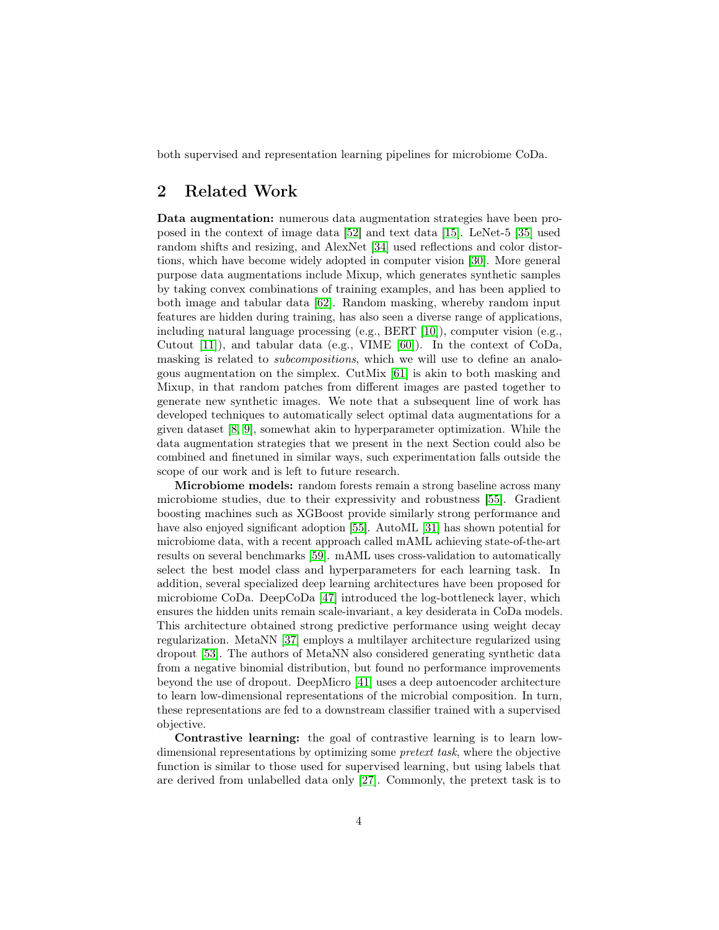both supervised and representation learning pipelines for microbiome CoDa.

## 2 Related Work

Data augmentation: numerous data augmentation strategies have been proposed in the context of image data [\[52\]](#page-17-0) and text data [\[15\]](#page-14-0). LeNet-5 [\[35\]](#page-15-0) used random shifts and resizing, and AlexNet [\[34\]](#page-15-1) used reflections and color distortions, which have become widely adopted in computer vision [\[30\]](#page-15-2). More general purpose data augmentations include Mixup, which generates synthetic samples by taking convex combinations of training examples, and has been applied to both image and tabular data [\[62\]](#page-18-0). Random masking, whereby random input features are hidden during training, has also seen a diverse range of applications, including natural language processing  $(e.g., BERT [10]),$  $(e.g., BERT [10]),$  $(e.g., BERT [10]),$  computer vision  $(e.g.,$ Cutout [\[11\]](#page-14-1)), and tabular data (e.g., VIME [\[60\]](#page-17-2)). In the context of CoDa, masking is related to subcompositions, which we will use to define an analogous augmentation on the simplex. CutMix [\[61\]](#page-18-1) is akin to both masking and Mixup, in that random patches from different images are pasted together to generate new synthetic images. We note that a subsequent line of work has developed techniques to automatically select optimal data augmentations for a given dataset [\[8,](#page-13-1) [9\]](#page-13-2), somewhat akin to hyperparameter optimization. While the data augmentation strategies that we present in the next Section could also be combined and finetuned in similar ways, such experimentation falls outside the scope of our work and is left to future research.

Microbiome models: random forests remain a strong baseline across many microbiome studies, due to their expressivity and robustness [\[55\]](#page-17-8). Gradient boosting machines such as XGBoost provide similarly strong performance and have also enjoyed significant adoption [\[55\]](#page-17-8). AutoML [\[31\]](#page-15-8) has shown potential for microbiome data, with a recent approach called mAML achieving state-of-the-art results on several benchmarks [\[59\]](#page-17-9). mAML uses cross-validation to automatically select the best model class and hyperparameters for each learning task. In addition, several specialized deep learning architectures have been proposed for microbiome CoDa. DeepCoDa [\[47\]](#page-16-11) introduced the log-bottleneck layer, which ensures the hidden units remain scale-invariant, a key desiderata in CoDa models. This architecture obtained strong predictive performance using weight decay regularization. MetaNN [\[37\]](#page-16-5) employs a multilayer architecture regularized using dropout [\[53\]](#page-17-10). The authors of MetaNN also considered generating synthetic data from a negative binomial distribution, but found no performance improvements beyond the use of dropout. DeepMicro [\[41\]](#page-16-6) uses a deep autoencoder architecture to learn low-dimensional representations of the microbial composition. In turn, these representations are fed to a downstream classifier trained with a supervised objective.

Contrastive learning: the goal of contrastive learning is to learn lowdimensional representations by optimizing some pretext task, where the objective function is similar to those used for supervised learning, but using labels that are derived from unlabelled data only [\[27\]](#page-15-7). Commonly, the pretext task is to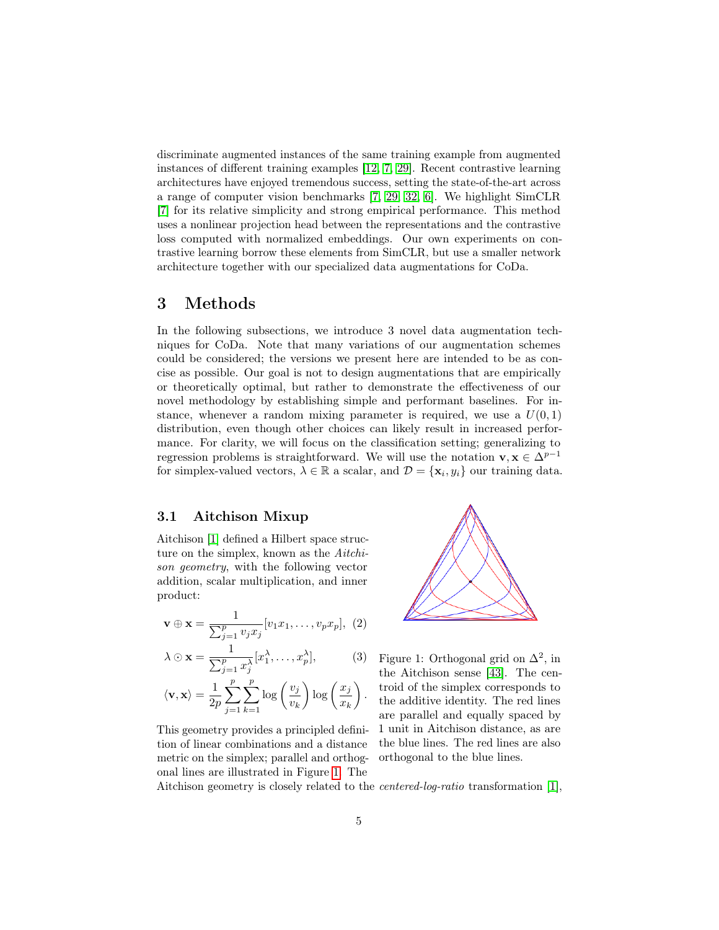discriminate augmented instances of the same training example from augmented instances of different training examples [\[12,](#page-14-12) [7,](#page-13-0) [29\]](#page-15-3). Recent contrastive learning architectures have enjoyed tremendous success, setting the state-of-the-art across a range of computer vision benchmarks [\[7,](#page-13-0) [29,](#page-15-3) [32,](#page-15-9) [6\]](#page-13-9). We highlight SimCLR [\[7\]](#page-13-0) for its relative simplicity and strong empirical performance. This method uses a nonlinear projection head between the representations and the contrastive loss computed with normalized embeddings. Our own experiments on contrastive learning borrow these elements from SimCLR, but use a smaller network architecture together with our specialized data augmentations for CoDa.

### 3 Methods

In the following subsections, we introduce 3 novel data augmentation techniques for CoDa. Note that many variations of our augmentation schemes could be considered; the versions we present here are intended to be as concise as possible. Our goal is not to design augmentations that are empirically or theoretically optimal, but rather to demonstrate the effectiveness of our novel methodology by establishing simple and performant baselines. For instance, whenever a random mixing parameter is required, we use a  $U(0, 1)$ distribution, even though other choices can likely result in increased performance. For clarity, we will focus on the classification setting; generalizing to regression problems is straightforward. We will use the notation  $\mathbf{v}, \mathbf{x} \in \Delta^{p-1}$ for simplex-valued vectors,  $\lambda \in \mathbb{R}$  a scalar, and  $\mathcal{D} = {\mathbf{x}_i, y_i}$  our training data.

#### 3.1 Aitchison Mixup

Aitchison [\[1\]](#page-13-7) defined a Hilbert space structure on the simplex, known as the Aitchison geometry, with the following vector addition, scalar multiplication, and inner product:

$$
\mathbf{v} \oplus \mathbf{x} = \frac{1}{\sum_{j=1}^p v_j x_j} [v_1 x_1, \dots, v_p x_p], \tag{2}
$$

$$
\lambda \odot \mathbf{x} = \frac{1}{\sum_{j=1}^{p} x_j^{\lambda}} [x_1^{\lambda}, \dots, x_p^{\lambda}], \quad (3)
$$

$$
\langle \mathbf{v}, \mathbf{x} \rangle = \frac{1}{2p} \sum_{j=1}^{p} \sum_{k=1}^{p} \log \left( \frac{v_j}{v_k} \right) \log \left( \frac{x_j}{x_k} \right)
$$

This geometry provides a principled definition of linear combinations and a distance metric on the simplex; parallel and orthogonal lines are illustrated in Figure [1.](#page-4-0) The



<span id="page-4-0"></span>Figure 1: Orthogonal grid on  $\Delta^2$ , in the Aitchison sense [\[43\]](#page-16-3). The centroid of the simplex corresponds to the additive identity. The red lines are parallel and equally spaced by 1 unit in Aitchison distance, as are the blue lines. The red lines are also orthogonal to the blue lines.

Aitchison geometry is closely related to the centered-log-ratio transformation [\[1\]](#page-13-7),

.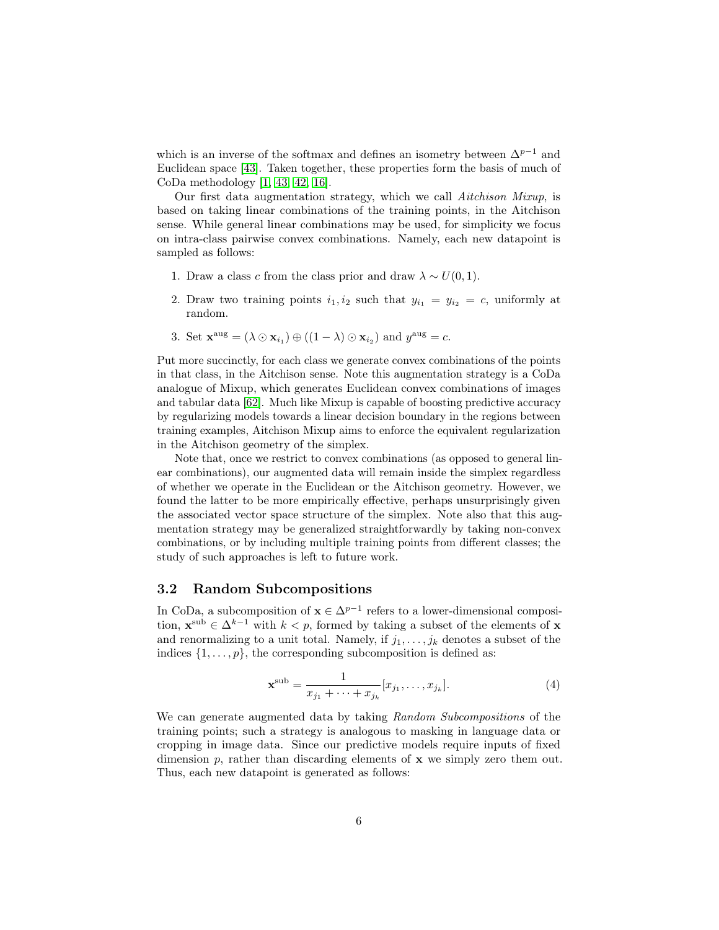which is an inverse of the softmax and defines an isometry between  $\Delta^{p-1}$  and Euclidean space [\[43\]](#page-16-3). Taken together, these properties form the basis of much of CoDa methodology [\[1,](#page-13-7) [43,](#page-16-3) [42,](#page-16-4) [16\]](#page-14-8).

Our first data augmentation strategy, which we call Aitchison Mixup, is based on taking linear combinations of the training points, in the Aitchison sense. While general linear combinations may be used, for simplicity we focus on intra-class pairwise convex combinations. Namely, each new datapoint is sampled as follows:

- 1. Draw a class c from the class prior and draw  $\lambda \sim U(0, 1)$ .
- 2. Draw two training points  $i_1, i_2$  such that  $y_{i_1} = y_{i_2} = c$ , uniformly at random.
- 3. Set  $\mathbf{x}^{\text{aug}} = (\lambda \odot \mathbf{x}_{i_1}) \oplus ((1 \lambda) \odot \mathbf{x}_{i_2})$  and  $y^{\text{aug}} = c$ .

Put more succinctly, for each class we generate convex combinations of the points in that class, in the Aitchison sense. Note this augmentation strategy is a CoDa analogue of Mixup, which generates Euclidean convex combinations of images and tabular data [\[62\]](#page-18-0). Much like Mixup is capable of boosting predictive accuracy by regularizing models towards a linear decision boundary in the regions between training examples, Aitchison Mixup aims to enforce the equivalent regularization in the Aitchison geometry of the simplex.

Note that, once we restrict to convex combinations (as opposed to general linear combinations), our augmented data will remain inside the simplex regardless of whether we operate in the Euclidean or the Aitchison geometry. However, we found the latter to be more empirically effective, perhaps unsurprisingly given the associated vector space structure of the simplex. Note also that this augmentation strategy may be generalized straightforwardly by taking non-convex combinations, or by including multiple training points from different classes; the study of such approaches is left to future work.

#### 3.2 Random Subcompositions

In CoDa, a subcomposition of  $\mathbf{x} \in \Delta^{p-1}$  refers to a lower-dimensional composition,  $\mathbf{x}^{\text{sub}} \in \Delta^{k-1}$  with  $k < p$ , formed by taking a subset of the elements of x and renormalizing to a unit total. Namely, if  $j_1, \ldots, j_k$  denotes a subset of the indices  $\{1, \ldots, p\}$ , the corresponding subcomposition is defined as:

$$
\mathbf{x}^{\text{sub}} = \frac{1}{x_{j_1} + \dots + x_{j_k}} [x_{j_1}, \dots, x_{j_k}].
$$
 (4)

We can generate augmented data by taking Random Subcompositions of the training points; such a strategy is analogous to masking in language data or cropping in image data. Since our predictive models require inputs of fixed dimension p, rather than discarding elements of  $x$  we simply zero them out. Thus, each new datapoint is generated as follows: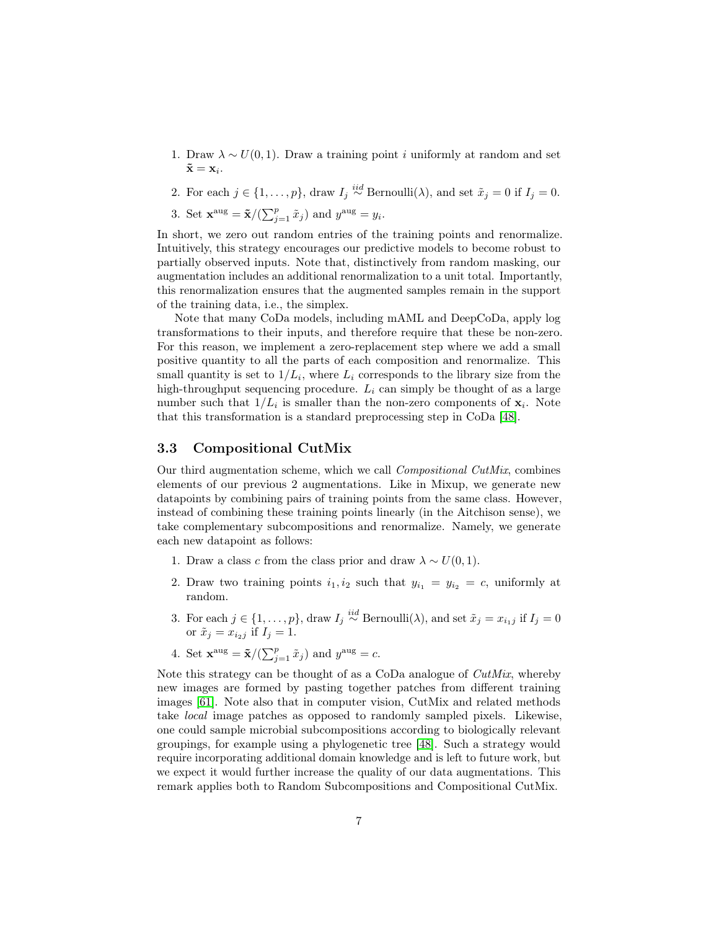- 1. Draw  $\lambda \sim U(0, 1)$ . Draw a training point *i* uniformly at random and set  $\mathbf{\tilde{x}} = \mathbf{x}_i.$
- 2. For each  $j \in \{1, \ldots, p\}$ , draw  $I_j \stackrel{iid}{\sim} \text{Bernoulli}(\lambda)$ , and set  $\tilde{x}_j = 0$  if  $I_j = 0$ .

3. Set  $\mathbf{x}^{\text{aug}} = \tilde{\mathbf{x}} / (\sum_{j=1}^{p} \tilde{x}_j)$  and  $y^{\text{aug}} = y_i$ .

In short, we zero out random entries of the training points and renormalize. Intuitively, this strategy encourages our predictive models to become robust to partially observed inputs. Note that, distinctively from random masking, our augmentation includes an additional renormalization to a unit total. Importantly, this renormalization ensures that the augmented samples remain in the support of the training data, i.e., the simplex.

Note that many CoDa models, including mAML and DeepCoDa, apply log transformations to their inputs, and therefore require that these be non-zero. For this reason, we implement a zero-replacement step where we add a small positive quantity to all the parts of each composition and renormalize. This small quantity is set to  $1/L_i$ , where  $L_i$  corresponds to the library size from the high-throughput sequencing procedure.  $L_i$  can simply be thought of as a large number such that  $1/L_i$  is smaller than the non-zero components of  $\mathbf{x}_i$ . Note that this transformation is a standard preprocessing step in CoDa [\[48\]](#page-16-1).

#### 3.3 Compositional CutMix

Our third augmentation scheme, which we call Compositional CutMix, combines elements of our previous 2 augmentations. Like in Mixup, we generate new datapoints by combining pairs of training points from the same class. However, instead of combining these training points linearly (in the Aitchison sense), we take complementary subcompositions and renormalize. Namely, we generate each new datapoint as follows:

- 1. Draw a class c from the class prior and draw  $\lambda \sim U(0, 1)$ .
- 2. Draw two training points  $i_1, i_2$  such that  $y_{i_1} = y_{i_2} = c$ , uniformly at random.
- 3. For each  $j \in \{1, \ldots, p\}$ , draw  $I_j \stackrel{iid}{\sim} \text{Bernoulli}(\lambda)$ , and set  $\tilde{x}_j = x_{i,j}$  if  $I_j = 0$ or  $\tilde{x}_j = x_{i_2j}$  if  $I_j = 1$ .
- 4. Set  $\mathbf{x}^{\text{aug}} = \tilde{\mathbf{x}} / (\sum_{j=1}^{p} \tilde{x}_j)$  and  $y^{\text{aug}} = c$ .

Note this strategy can be thought of as a CoDa analogue of CutMix, whereby new images are formed by pasting together patches from different training images [\[61\]](#page-18-1). Note also that in computer vision, CutMix and related methods take local image patches as opposed to randomly sampled pixels. Likewise, one could sample microbial subcompositions according to biologically relevant groupings, for example using a phylogenetic tree [\[48\]](#page-16-1). Such a strategy would require incorporating additional domain knowledge and is left to future work, but we expect it would further increase the quality of our data augmentations. This remark applies both to Random Subcompositions and Compositional CutMix.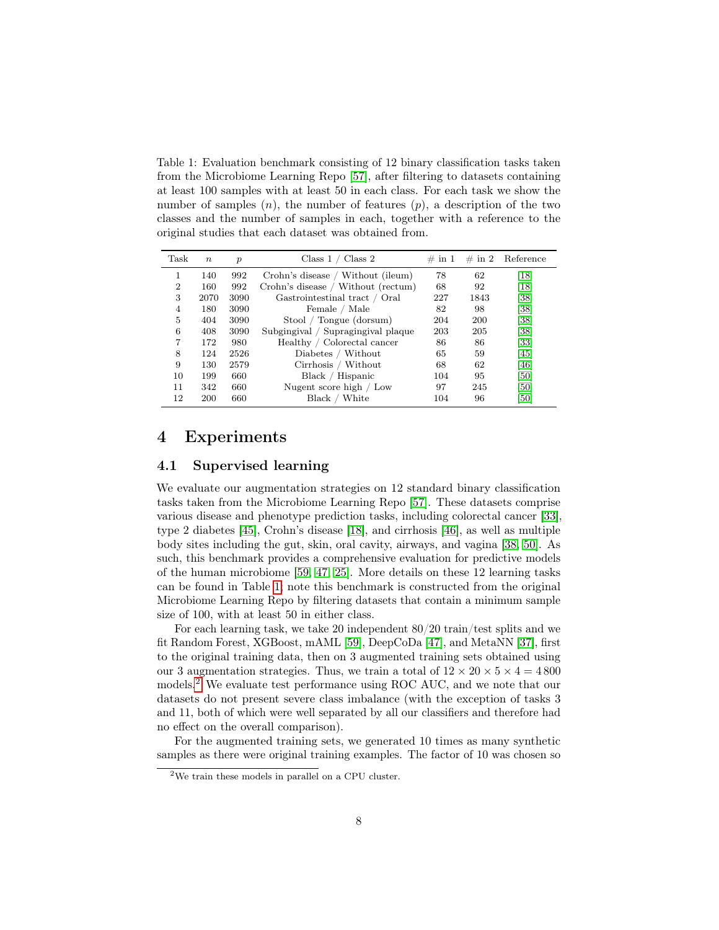<span id="page-7-0"></span>Table 1: Evaluation benchmark consisting of 12 binary classification tasks taken from the Microbiome Learning Repo [\[57\]](#page-17-7), after filtering to datasets containing at least 100 samples with at least 50 in each class. For each task we show the number of samples  $(n)$ , the number of features  $(p)$ , a description of the two classes and the number of samples in each, together with a reference to the original studies that each dataset was obtained from.

| Task | $n_{\cdot}$ | $\boldsymbol{p}$ | Class $1 /$ Class $2$              | $\#$ in 1 |      | $\#$ in 2 Reference |
|------|-------------|------------------|------------------------------------|-----------|------|---------------------|
|      | 140         | 992              | Crohn's disease / Without (ileum)  | 78        | 62   | $\left[18\right]$   |
| 2    | 160         | 992              | Crohn's disease / Without (rectum) | 68        | 92   | $\left[18\right]$   |
| 3    | 2070        | 3090             | Gastrointestinal tract / Oral      | 227       | 1843 | [38]                |
| 4    | 180         | 3090             | Female / Male                      | 82        | 98   | [38]                |
| 5    | 404         | 3090             | Stool / Tongue (dorsum)            | 204       | 200  | [38]                |
| 6    | 408         | 3090             | Subgingival / Supragingival plaque | 203       | 205  | [38]                |
| 7    | 172         | 980              | Healthy / Colorectal cancer        | 86        | 86   | [33]                |
| 8    | 124         | 2526             | Diabetes / Without                 | 65        | 59   | [45]                |
| 9    | 130         | 2579             | Cirrhosis / Without                | 68        | 62   | [46]                |
| 10   | 199         | 660              | Black / Hispanic                   | 104       | 95   | [50]                |
| 11   | 342         | 660              | Nugent score high / Low            | 97        | 245  | [50]                |
| 12   | 200         | 660              | Black / White                      | 104       | 96   | [50]                |

### 4 Experiments

#### 4.1 Supervised learning

We evaluate our augmentation strategies on 12 standard binary classification tasks taken from the Microbiome Learning Repo [\[57\]](#page-17-7). These datasets comprise various disease and phenotype prediction tasks, including colorectal cancer [\[33\]](#page-15-5), type 2 diabetes [\[45\]](#page-16-9), Crohn's disease [\[18\]](#page-14-10), and cirrhosis [\[46\]](#page-16-12), as well as multiple body sites including the gut, skin, oral cavity, airways, and vagina [\[38,](#page-16-7) [50\]](#page-17-11). As such, this benchmark provides a comprehensive evaluation for predictive models of the human microbiome [\[59,](#page-17-9) [47,](#page-16-11) [25\]](#page-15-10). More details on these 12 learning tasks can be found in Table [1;](#page-7-0) note this benchmark is constructed from the original Microbiome Learning Repo by filtering datasets that contain a minimum sample size of 100, with at least 50 in either class.

For each learning task, we take 20 independent 80/20 train/test splits and we fit Random Forest, XGBoost, mAML [\[59\]](#page-17-9), DeepCoDa [\[47\]](#page-16-11), and MetaNN [\[37\]](#page-16-5), first to the original training data, then on 3 augmented training sets obtained using our 3 augmentation strategies. Thus, we train a total of  $12 \times 20 \times 5 \times 4 = 4800$ models.<sup>[2](#page-7-1)</sup> We evaluate test performance using ROC AUC, and we note that our datasets do not present severe class imbalance (with the exception of tasks 3 and 11, both of which were well separated by all our classifiers and therefore had no effect on the overall comparison).

For the augmented training sets, we generated 10 times as many synthetic samples as there were original training examples. The factor of 10 was chosen so

<span id="page-7-1"></span><sup>2</sup>We train these models in parallel on a CPU cluster.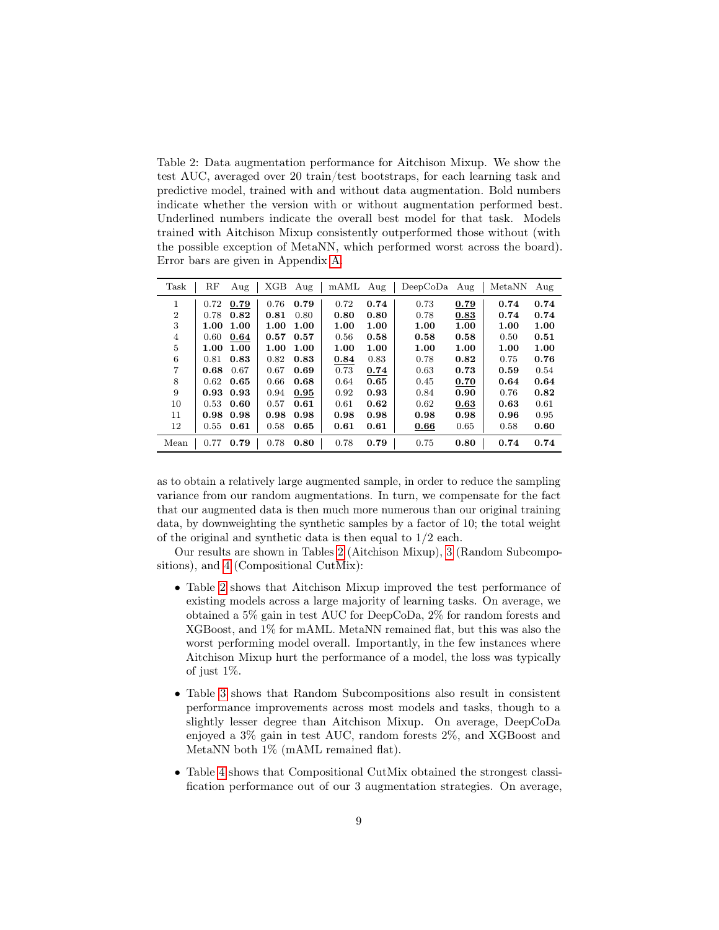<span id="page-8-0"></span>Table 2: Data augmentation performance for Aitchison Mixup. We show the test AUC, averaged over 20 train/test bootstraps, for each learning task and predictive model, trained with and without data augmentation. Bold numbers indicate whether the version with or without augmentation performed best. Underlined numbers indicate the overall best model for that task. Models trained with Aitchison Mixup consistently outperformed those without (with the possible exception of MetaNN, which performed worst across the board). Error bars are given in Appendix [A.](#page-19-0)

| Task           | $_{\rm RF}$ | Aug               | XGB  | Aug  | $\rm mAML$ | Aug  | $DeepCoDa$ Aug |      | MetaNN | Aug  |
|----------------|-------------|-------------------|------|------|------------|------|----------------|------|--------|------|
| 1              | 0.72        | 0.79              | 0.76 | 0.79 | 0.72       | 0.74 | 0.73           | 0.79 | 0.74   | 0.74 |
| $\overline{2}$ | 0.78        | 0.82              | 0.81 | 0.80 | 0.80       | 0.80 | 0.78           | 0.83 | 0.74   | 0.74 |
| 3              | 1.00        | 1.00              | 1.00 | 1.00 | 1.00       | 1.00 | 1.00           | 1.00 | 1.00   | 1.00 |
| 4              | 0.60        | 0.64              | 0.57 | 0.57 | 0.56       | 0.58 | 0.58           | 0.58 | 0.50   | 0.51 |
| 5              | 1.00        | 1.00              | 1.00 | 1.00 | 1.00       | 1.00 | 1.00           | 1.00 | 1.00   | 1.00 |
| 6              | 0.81        | 0.83              | 0.82 | 0.83 | 0.84       | 0.83 | 0.78           | 0.82 | 0.75   | 0.76 |
| $\overline{7}$ | 0.68        | 0.67              | 0.67 | 0.69 | 0.73       | 0.74 | 0.63           | 0.73 | 0.59   | 0.54 |
| 8              | 0.62        | 0.65              | 0.66 | 0.68 | 0.64       | 0.65 | 0.45           | 0.70 | 0.64   | 0.64 |
| 9              |             | $0.93 \quad 0.93$ | 0.94 | 0.95 | 0.92       | 0.93 | 0.84           | 0.90 | 0.76   | 0.82 |
| 10             | 0.53        | 0.60              | 0.57 | 0.61 | 0.61       | 0.62 | 0.62           | 0.63 | 0.63   | 0.61 |
| 11             |             | $0.98$ $0.98$     | 0.98 | 0.98 | 0.98       | 0.98 | 0.98           | 0.98 | 0.96   | 0.95 |
| 12             | 0.55        | 0.61              | 0.58 | 0.65 | 0.61       | 0.61 | 0.66           | 0.65 | 0.58   | 0.60 |
| Mean           | 0.77        | 0.79              | 0.78 | 0.80 | 0.78       | 0.79 | 0.75           | 0.80 | 0.74   | 0.74 |

as to obtain a relatively large augmented sample, in order to reduce the sampling variance from our random augmentations. In turn, we compensate for the fact that our augmented data is then much more numerous than our original training data, by downweighting the synthetic samples by a factor of 10; the total weight of the original and synthetic data is then equal to 1/2 each.

Our results are shown in Tables [2](#page-8-0) (Aitchison Mixup), [3](#page-9-0) (Random Subcompositions), and [4](#page-9-1) (Compositional CutMix):

- Table [2](#page-8-0) shows that Aitchison Mixup improved the test performance of existing models across a large majority of learning tasks. On average, we obtained a 5% gain in test AUC for DeepCoDa, 2% for random forests and XGBoost, and 1% for mAML. MetaNN remained flat, but this was also the worst performing model overall. Importantly, in the few instances where Aitchison Mixup hurt the performance of a model, the loss was typically of just 1%.
- Table [3](#page-9-0) shows that Random Subcompositions also result in consistent performance improvements across most models and tasks, though to a slightly lesser degree than Aitchison Mixup. On average, DeepCoDa enjoyed a 3% gain in test AUC, random forests 2%, and XGBoost and MetaNN both 1% (mAML remained flat).
- Table [4](#page-9-1) shows that Compositional CutMix obtained the strongest classification performance out of our 3 augmentation strategies. On average,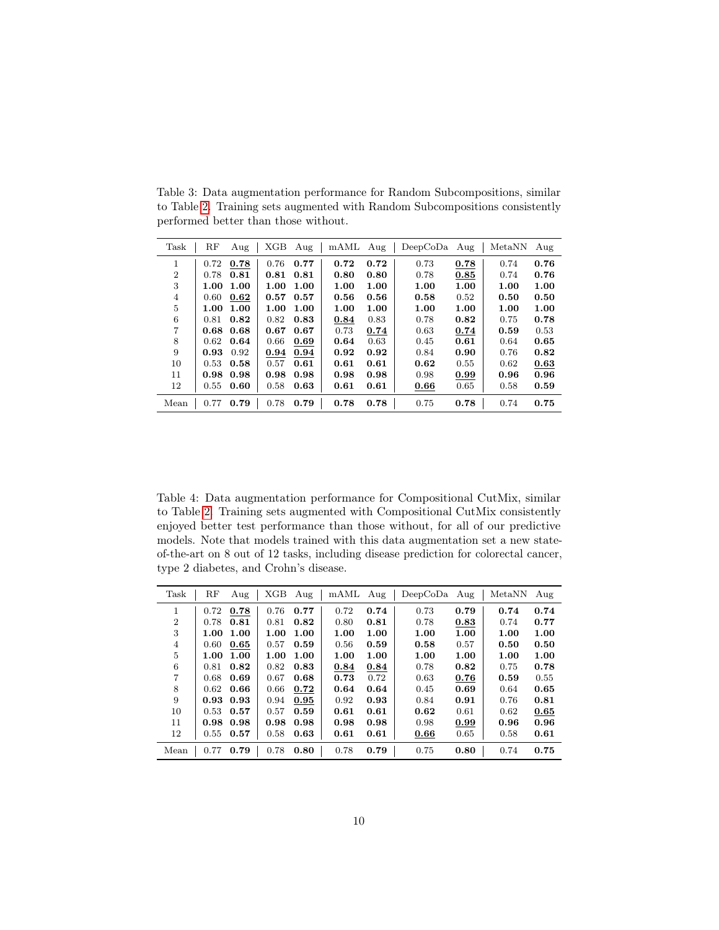| Task           | RF   | Aug         | XGB  | Aug  | $\rm{mAML}$ | Aug  | $DeepCoDa$ Aug |      | MetaNN | Aug  |
|----------------|------|-------------|------|------|-------------|------|----------------|------|--------|------|
| 1              | 0.72 | 0.78        | 0.76 | 0.77 | 0.72        | 0.72 | 0.73           | 0.78 | 0.74   | 0.76 |
| $\overline{2}$ | 0.78 | 0.81        | 0.81 | 0.81 | 0.80        | 0.80 | 0.78           | 0.85 | 0.74   | 0.76 |
| 3              | 1.00 | 1.00        | 1.00 | 1.00 | 1.00        | 1.00 | 1.00           | 1.00 | 1.00   | 1.00 |
| 4              | 0.60 | 0.62        | 0.57 | 0.57 | 0.56        | 0.56 | 0.58           | 0.52 | 0.50   | 0.50 |
| 5              | 1.00 | 1.00        | 1.00 | 1.00 | 1.00        | 1.00 | 1.00           | 1.00 | 1.00   | 1.00 |
| 6              | 0.81 | 0.82        | 0.82 | 0.83 | 0.84        | 0.83 | 0.78           | 0.82 | 0.75   | 0.78 |
| 7              |      | $0.68$ 0.68 | 0.67 | 0.67 | 0.73        | 0.74 | 0.63           | 0.74 | 0.59   | 0.53 |
| 8              | 0.62 | 0.64        | 0.66 | 0.69 | 0.64        | 0.63 | 0.45           | 0.61 | 0.64   | 0.65 |
| 9              | 0.93 | 0.92        | 0.94 | 0.94 | 0.92        | 0.92 | 0.84           | 0.90 | 0.76   | 0.82 |
| 10             | 0.53 | 0.58        | 0.57 | 0.61 | 0.61        | 0.61 | 0.62           | 0.55 | 0.62   | 0.63 |
| 11             | 0.98 | 0.98        | 0.98 | 0.98 | 0.98        | 0.98 | 0.98           | 0.99 | 0.96   | 0.96 |
| 12             | 0.55 | 0.60        | 0.58 | 0.63 | 0.61        | 0.61 | 0.66           | 0.65 | 0.58   | 0.59 |
| Mean           | 0.77 | 0.79        | 0.78 | 0.79 | 0.78        | 0.78 | 0.75           | 0.78 | 0.74   | 0.75 |

<span id="page-9-0"></span>Table 3: Data augmentation performance for Random Subcompositions, similar to Table [2.](#page-8-0) Training sets augmented with Random Subcompositions consistently performed better than those without.

<span id="page-9-1"></span>Table 4: Data augmentation performance for Compositional CutMix, similar to Table [2.](#page-8-0) Training sets augmented with Compositional CutMix consistently enjoyed better test performance than those without, for all of our predictive models. Note that models trained with this data augmentation set a new stateof-the-art on 8 out of 12 tasks, including disease prediction for colorectal cancer, type 2 diabetes, and Crohn's disease.

| Task           | RF       | Aug  | XGB  | Aug  | mAML Aug |      | DeepCoDa | Aug  | MetaNN | Aug  |
|----------------|----------|------|------|------|----------|------|----------|------|--------|------|
| 1              | 0.72     | 0.78 | 0.76 | 0.77 | 0.72     | 0.74 | 0.73     | 0.79 | 0.74   | 0.74 |
| $\overline{2}$ | 0.78     | 0.81 | 0.81 | 0.82 | 0.80     | 0.81 | 0.78     | 0.83 | 0.74   | 0.77 |
| 3              | 1.00     | 1.00 | 1.00 | 1.00 | 1.00     | 1.00 | 1.00     | 1.00 | 1.00   | 1.00 |
| 4              | 0.60     | 0.65 | 0.57 | 0.59 | 0.56     | 0.59 | 0.58     | 0.57 | 0.50   | 0.50 |
| 5              | $1.00\,$ | 1.00 | 1.00 | 1.00 | 1.00     | 1.00 | 1.00     | 1.00 | 1.00   | 1.00 |
| 6              | 0.81     | 0.82 | 0.82 | 0.83 | 0.84     | 0.84 | 0.78     | 0.82 | 0.75   | 0.78 |
| 7              | 0.68     | 0.69 | 0.67 | 0.68 | 0.73     | 0.72 | 0.63     | 0.76 | 0.59   | 0.55 |
| 8              | 0.62     | 0.66 | 0.66 | 0.72 | 0.64     | 0.64 | 0.45     | 0.69 | 0.64   | 0.65 |
| 9              | 0.93     | 0.93 | 0.94 | 0.95 | 0.92     | 0.93 | 0.84     | 0.91 | 0.76   | 0.81 |
| 10             | 0.53     | 0.57 | 0.57 | 0.59 | 0.61     | 0.61 | 0.62     | 0.61 | 0.62   | 0.65 |
| 11             | 0.98     | 0.98 | 0.98 | 0.98 | 0.98     | 0.98 | 0.98     | 0.99 | 0.96   | 0.96 |
| 12             | 0.55     | 0.57 | 0.58 | 0.63 | 0.61     | 0.61 | 0.66     | 0.65 | 0.58   | 0.61 |
| Mean           | 0.77     | 0.79 | 0.78 | 0.80 | 0.78     | 0.79 | 0.75     | 0.80 | 0.74   | 0.75 |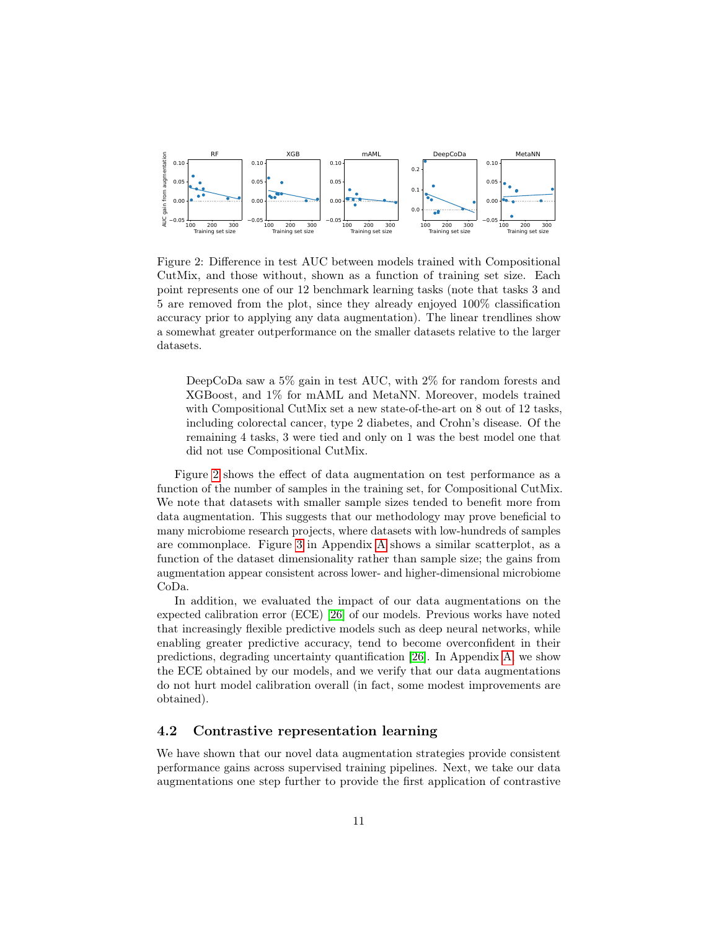

<span id="page-10-0"></span>Figure 2: Difference in test AUC between models trained with Compositional CutMix, and those without, shown as a function of training set size. Each point represents one of our 12 benchmark learning tasks (note that tasks 3 and 5 are removed from the plot, since they already enjoyed 100% classification accuracy prior to applying any data augmentation). The linear trendlines show a somewhat greater outperformance on the smaller datasets relative to the larger datasets.

DeepCoDa saw a 5% gain in test AUC, with 2% for random forests and XGBoost, and 1% for mAML and MetaNN. Moreover, models trained with Compositional CutMix set a new state-of-the-art on 8 out of 12 tasks, including colorectal cancer, type 2 diabetes, and Crohn's disease. Of the remaining 4 tasks, 3 were tied and only on 1 was the best model one that did not use Compositional CutMix.

Figure [2](#page-10-0) shows the effect of data augmentation on test performance as a function of the number of samples in the training set, for Compositional CutMix. We note that datasets with smaller sample sizes tended to benefit more from data augmentation. This suggests that our methodology may prove beneficial to many microbiome research projects, where datasets with low-hundreds of samples are commonplace. Figure [3](#page-19-1) in Appendix [A](#page-19-0) shows a similar scatterplot, as a function of the dataset dimensionality rather than sample size; the gains from augmentation appear consistent across lower- and higher-dimensional microbiome CoDa.

In addition, we evaluated the impact of our data augmentations on the expected calibration error (ECE) [\[26\]](#page-15-11) of our models. Previous works have noted that increasingly flexible predictive models such as deep neural networks, while enabling greater predictive accuracy, tend to become overconfident in their predictions, degrading uncertainty quantification [\[26\]](#page-15-11). In Appendix [A,](#page-19-0) we show the ECE obtained by our models, and we verify that our data augmentations do not hurt model calibration overall (in fact, some modest improvements are obtained).

#### <span id="page-10-1"></span>4.2 Contrastive representation learning

We have shown that our novel data augmentation strategies provide consistent performance gains across supervised training pipelines. Next, we take our data augmentations one step further to provide the first application of contrastive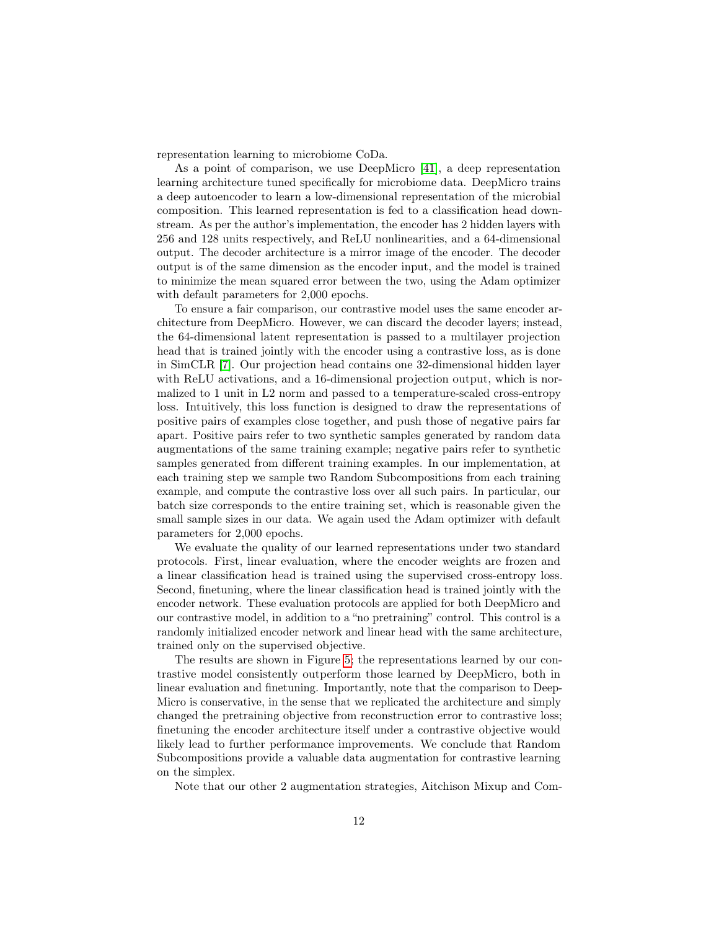representation learning to microbiome CoDa.

As a point of comparison, we use DeepMicro [\[41\]](#page-16-6), a deep representation learning architecture tuned specifically for microbiome data. DeepMicro trains a deep autoencoder to learn a low-dimensional representation of the microbial composition. This learned representation is fed to a classification head downstream. As per the author's implementation, the encoder has 2 hidden layers with 256 and 128 units respectively, and ReLU nonlinearities, and a 64-dimensional output. The decoder architecture is a mirror image of the encoder. The decoder output is of the same dimension as the encoder input, and the model is trained to minimize the mean squared error between the two, using the Adam optimizer with default parameters for 2,000 epochs.

To ensure a fair comparison, our contrastive model uses the same encoder architecture from DeepMicro. However, we can discard the decoder layers; instead, the 64-dimensional latent representation is passed to a multilayer projection head that is trained jointly with the encoder using a contrastive loss, as is done in SimCLR [\[7\]](#page-13-0). Our projection head contains one 32-dimensional hidden layer with ReLU activations, and a 16-dimensional projection output, which is normalized to 1 unit in L2 norm and passed to a temperature-scaled cross-entropy loss. Intuitively, this loss function is designed to draw the representations of positive pairs of examples close together, and push those of negative pairs far apart. Positive pairs refer to two synthetic samples generated by random data augmentations of the same training example; negative pairs refer to synthetic samples generated from different training examples. In our implementation, at each training step we sample two Random Subcompositions from each training example, and compute the contrastive loss over all such pairs. In particular, our batch size corresponds to the entire training set, which is reasonable given the small sample sizes in our data. We again used the Adam optimizer with default parameters for 2,000 epochs.

We evaluate the quality of our learned representations under two standard protocols. First, linear evaluation, where the encoder weights are frozen and a linear classification head is trained using the supervised cross-entropy loss. Second, finetuning, where the linear classification head is trained jointly with the encoder network. These evaluation protocols are applied for both DeepMicro and our contrastive model, in addition to a "no pretraining" control. This control is a randomly initialized encoder network and linear head with the same architecture, trained only on the supervised objective.

The results are shown in Figure [5;](#page-12-0) the representations learned by our contrastive model consistently outperform those learned by DeepMicro, both in linear evaluation and finetuning. Importantly, note that the comparison to Deep-Micro is conservative, in the sense that we replicated the architecture and simply changed the pretraining objective from reconstruction error to contrastive loss; finetuning the encoder architecture itself under a contrastive objective would likely lead to further performance improvements. We conclude that Random Subcompositions provide a valuable data augmentation for contrastive learning on the simplex.

Note that our other 2 augmentation strategies, Aitchison Mixup and Com-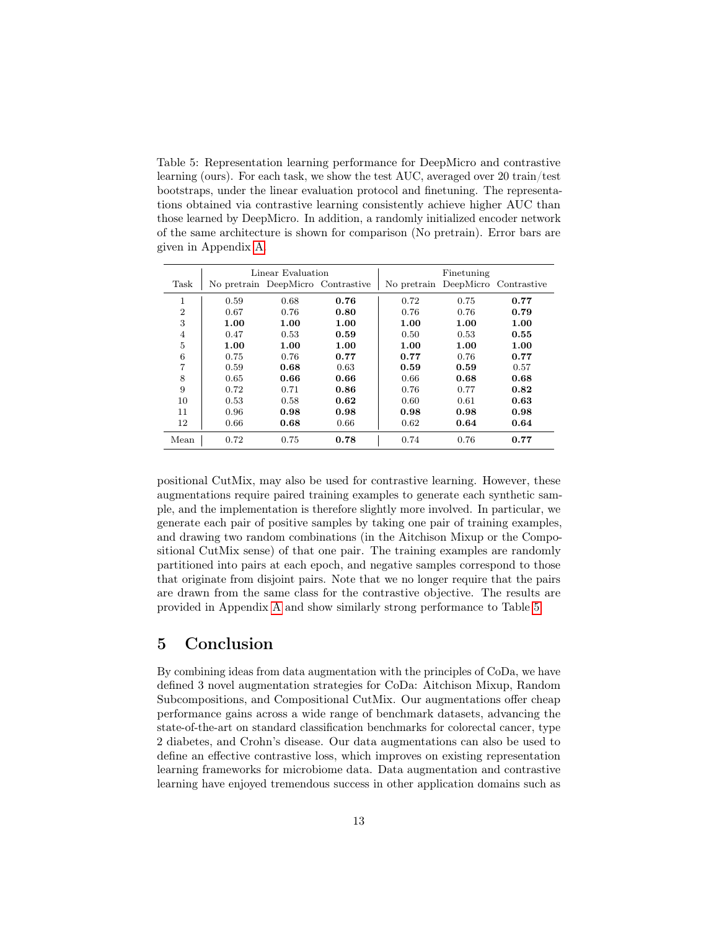<span id="page-12-0"></span>Table 5: Representation learning performance for DeepMicro and contrastive learning (ours). For each task, we show the test AUC, averaged over 20 train/test bootstraps, under the linear evaluation protocol and finetuning. The representations obtained via contrastive learning consistently achieve higher AUC than those learned by DeepMicro. In addition, a randomly initialized encoder network of the same architecture is shown for comparison (No pretrain). Error bars are given in Appendix [A.](#page-19-0)

|                |      | Linear Evaluation |                                   | Finetuning |      |                                   |  |
|----------------|------|-------------------|-----------------------------------|------------|------|-----------------------------------|--|
| Task           |      |                   | No pretrain DeepMicro Contrastive |            |      | No pretrain DeepMicro Contrastive |  |
| 1              | 0.59 | 0.68              | 0.76                              | 0.72       | 0.75 | 0.77                              |  |
| $\overline{2}$ | 0.67 | 0.76              | 0.80                              | 0.76       | 0.76 | 0.79                              |  |
| 3              | 1.00 | 1.00              | 1.00                              | 1.00       | 1.00 | 1.00                              |  |
| 4              | 0.47 | 0.53              | 0.59                              | 0.50       | 0.53 | 0.55                              |  |
| 5              | 1.00 | 1.00              | 1.00                              | 1.00       | 1.00 | 1.00                              |  |
| 6              | 0.75 | 0.76              | 0.77                              | 0.77       | 0.76 | 0.77                              |  |
| 7              | 0.59 | 0.68              | 0.63                              | 0.59       | 0.59 | 0.57                              |  |
| 8              | 0.65 | 0.66              | 0.66                              | 0.66       | 0.68 | 0.68                              |  |
| 9              | 0.72 | 0.71              | 0.86                              | 0.76       | 0.77 | 0.82                              |  |
| 10             | 0.53 | 0.58              | 0.62                              | 0.60       | 0.61 | 0.63                              |  |
| 11             | 0.96 | 0.98              | 0.98                              | 0.98       | 0.98 | 0.98                              |  |
| 12             | 0.66 | 0.68              | 0.66                              | 0.62       | 0.64 | 0.64                              |  |
| Mean           | 0.72 | 0.75              | 0.78                              | 0.74       | 0.76 | 0.77                              |  |

positional CutMix, may also be used for contrastive learning. However, these augmentations require paired training examples to generate each synthetic sample, and the implementation is therefore slightly more involved. In particular, we generate each pair of positive samples by taking one pair of training examples, and drawing two random combinations (in the Aitchison Mixup or the Compositional CutMix sense) of that one pair. The training examples are randomly partitioned into pairs at each epoch, and negative samples correspond to those that originate from disjoint pairs. Note that we no longer require that the pairs are drawn from the same class for the contrastive objective. The results are provided in Appendix [A](#page-19-0) and show similarly strong performance to Table [5.](#page-12-0)

### 5 Conclusion

By combining ideas from data augmentation with the principles of CoDa, we have defined 3 novel augmentation strategies for CoDa: Aitchison Mixup, Random Subcompositions, and Compositional CutMix. Our augmentations offer cheap performance gains across a wide range of benchmark datasets, advancing the state-of-the-art on standard classification benchmarks for colorectal cancer, type 2 diabetes, and Crohn's disease. Our data augmentations can also be used to define an effective contrastive loss, which improves on existing representation learning frameworks for microbiome data. Data augmentation and contrastive learning have enjoyed tremendous success in other application domains such as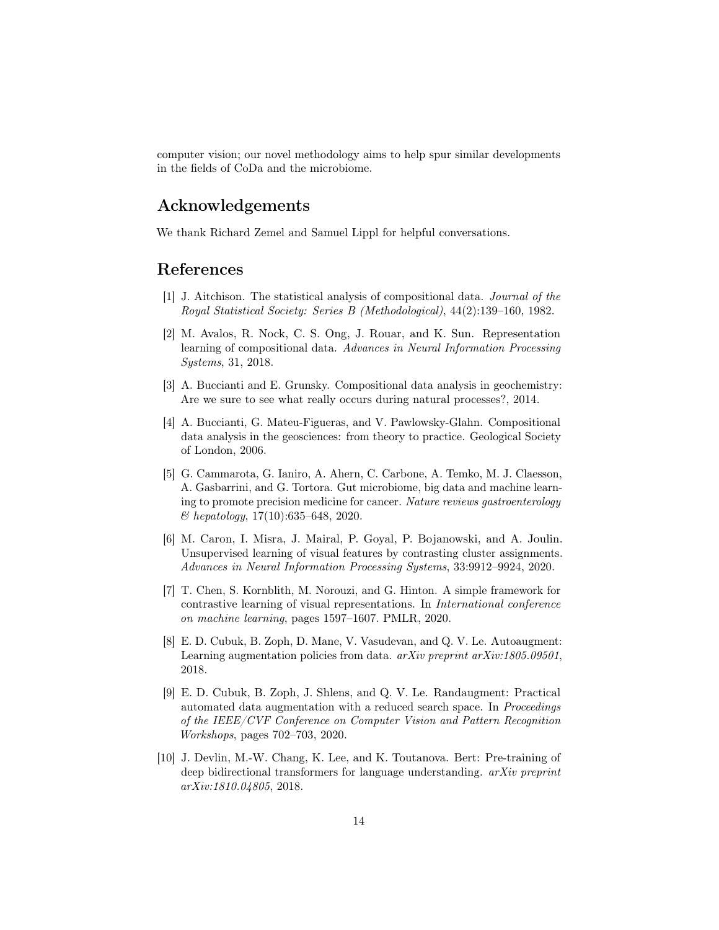computer vision; our novel methodology aims to help spur similar developments in the fields of CoDa and the microbiome.

### Acknowledgements

We thank Richard Zemel and Samuel Lippl for helpful conversations.

#### References

- <span id="page-13-7"></span>[1] J. Aitchison. The statistical analysis of compositional data. Journal of the Royal Statistical Society: Series B (Methodological), 44(2):139–160, 1982.
- <span id="page-13-4"></span>[2] M. Avalos, R. Nock, C. S. Ong, J. Rouar, and K. Sun. Representation learning of compositional data. Advances in Neural Information Processing Systems, 31, 2018.
- <span id="page-13-6"></span>[3] A. Buccianti and E. Grunsky. Compositional data analysis in geochemistry: Are we sure to see what really occurs during natural processes?, 2014.
- <span id="page-13-5"></span>[4] A. Buccianti, G. Mateu-Figueras, and V. Pawlowsky-Glahn. Compositional data analysis in the geosciences: from theory to practice. Geological Society of London, 2006.
- <span id="page-13-8"></span>[5] G. Cammarota, G. Ianiro, A. Ahern, C. Carbone, A. Temko, M. J. Claesson, A. Gasbarrini, and G. Tortora. Gut microbiome, big data and machine learning to promote precision medicine for cancer. Nature reviews gastroenterology & hepatology, 17(10):635–648, 2020.
- <span id="page-13-9"></span>[6] M. Caron, I. Misra, J. Mairal, P. Goyal, P. Bojanowski, and A. Joulin. Unsupervised learning of visual features by contrasting cluster assignments. Advances in Neural Information Processing Systems, 33:9912–9924, 2020.
- <span id="page-13-0"></span>[7] T. Chen, S. Kornblith, M. Norouzi, and G. Hinton. A simple framework for contrastive learning of visual representations. In International conference on machine learning, pages 1597–1607. PMLR, 2020.
- <span id="page-13-1"></span>[8] E. D. Cubuk, B. Zoph, D. Mane, V. Vasudevan, and Q. V. Le. Autoaugment: Learning augmentation policies from data.  $arXiv$  preprint  $arXiv:1805.09501$ , 2018.
- <span id="page-13-2"></span>[9] E. D. Cubuk, B. Zoph, J. Shlens, and Q. V. Le. Randaugment: Practical automated data augmentation with a reduced search space. In Proceedings of the IEEE/CVF Conference on Computer Vision and Pattern Recognition Workshops, pages 702–703, 2020.
- <span id="page-13-3"></span>[10] J. Devlin, M.-W. Chang, K. Lee, and K. Toutanova. Bert: Pre-training of deep bidirectional transformers for language understanding. arXiv preprint arXiv:1810.04805, 2018.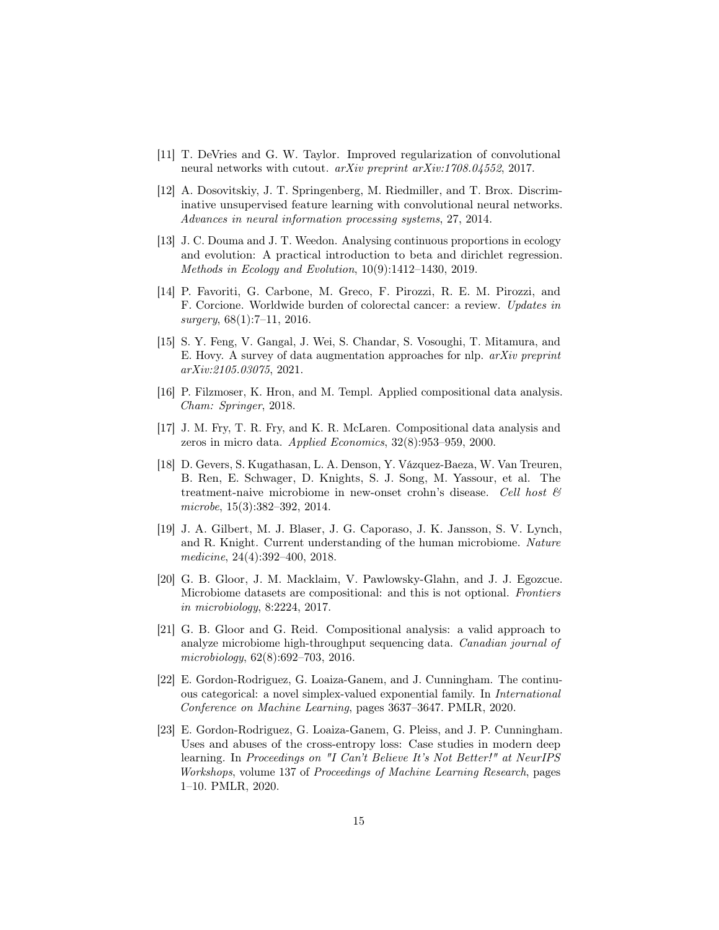- <span id="page-14-1"></span>[11] T. DeVries and G. W. Taylor. Improved regularization of convolutional neural networks with cutout. arXiv preprint arXiv:1708.04552, 2017.
- <span id="page-14-12"></span>[12] A. Dosovitskiy, J. T. Springenberg, M. Riedmiller, and T. Brox. Discriminative unsupervised feature learning with convolutional neural networks. Advances in neural information processing systems, 27, 2014.
- <span id="page-14-4"></span>[13] J. C. Douma and J. T. Weedon. Analysing continuous proportions in ecology and evolution: A practical introduction to beta and dirichlet regression. Methods in Ecology and Evolution, 10(9):1412–1430, 2019.
- <span id="page-14-11"></span>[14] P. Favoriti, G. Carbone, M. Greco, F. Pirozzi, R. E. M. Pirozzi, and F. Corcione. Worldwide burden of colorectal cancer: a review. Updates in  $surgery, 68(1):7-11, 2016.$
- <span id="page-14-0"></span>[15] S. Y. Feng, V. Gangal, J. Wei, S. Chandar, S. Vosoughi, T. Mitamura, and E. Hovy. A survey of data augmentation approaches for nlp.  $arXiv$  preprint arXiv:2105.03075, 2021.
- <span id="page-14-8"></span>[16] P. Filzmoser, K. Hron, and M. Templ. Applied compositional data analysis. Cham: Springer, 2018.
- <span id="page-14-5"></span>[17] J. M. Fry, T. R. Fry, and K. R. McLaren. Compositional data analysis and zeros in micro data. Applied Economics, 32(8):953–959, 2000.
- <span id="page-14-10"></span>[18] D. Gevers, S. Kugathasan, L. A. Denson, Y. Vázquez-Baeza, W. Van Treuren, B. Ren, E. Schwager, D. Knights, S. J. Song, M. Yassour, et al. The treatment-naive microbiome in new-onset crohn's disease. Cell host  $\mathcal{C}'$ microbe, 15(3):382–392, 2014.
- <span id="page-14-9"></span>[19] J. A. Gilbert, M. J. Blaser, J. G. Caporaso, J. K. Jansson, S. V. Lynch, and R. Knight. Current understanding of the human microbiome. Nature medicine, 24(4):392–400, 2018.
- <span id="page-14-3"></span>[20] G. B. Gloor, J. M. Macklaim, V. Pawlowsky-Glahn, and J. J. Egozcue. Microbiome datasets are compositional: and this is not optional. Frontiers in microbiology, 8:2224, 2017.
- <span id="page-14-2"></span>[21] G. B. Gloor and G. Reid. Compositional analysis: a valid approach to analyze microbiome high-throughput sequencing data. Canadian journal of microbiology, 62(8):692–703, 2016.
- <span id="page-14-6"></span>[22] E. Gordon-Rodriguez, G. Loaiza-Ganem, and J. Cunningham. The continuous categorical: a novel simplex-valued exponential family. In International Conference on Machine Learning, pages 3637–3647. PMLR, 2020.
- <span id="page-14-7"></span>[23] E. Gordon-Rodriguez, G. Loaiza-Ganem, G. Pleiss, and J. P. Cunningham. Uses and abuses of the cross-entropy loss: Case studies in modern deep learning. In Proceedings on "I Can't Believe It's Not Better!" at NeurIPS Workshops, volume 137 of Proceedings of Machine Learning Research, pages 1–10. PMLR, 2020.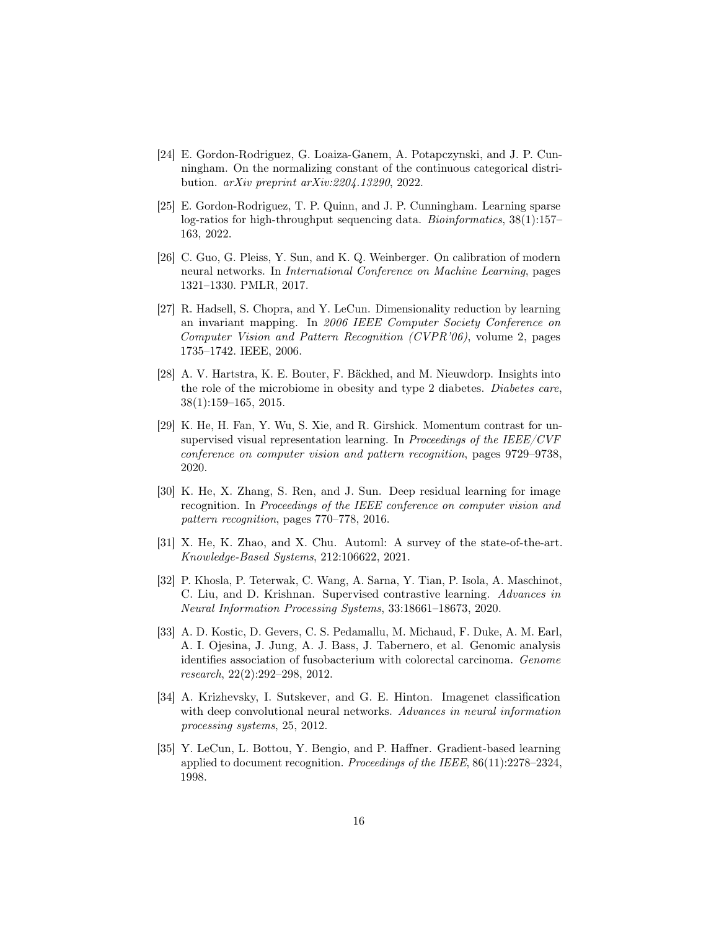- <span id="page-15-4"></span>[24] E. Gordon-Rodriguez, G. Loaiza-Ganem, A. Potapczynski, and J. P. Cunningham. On the normalizing constant of the continuous categorical distribution. arXiv preprint arXiv:2204.13290, 2022.
- <span id="page-15-10"></span>[25] E. Gordon-Rodriguez, T. P. Quinn, and J. P. Cunningham. Learning sparse log-ratios for high-throughput sequencing data. Bioinformatics,  $38(1):157-$ 163, 2022.
- <span id="page-15-11"></span>[26] C. Guo, G. Pleiss, Y. Sun, and K. Q. Weinberger. On calibration of modern neural networks. In International Conference on Machine Learning, pages 1321–1330. PMLR, 2017.
- <span id="page-15-7"></span>[27] R. Hadsell, S. Chopra, and Y. LeCun. Dimensionality reduction by learning an invariant mapping. In 2006 IEEE Computer Society Conference on Computer Vision and Pattern Recognition (CVPR'06), volume 2, pages 1735–1742. IEEE, 2006.
- <span id="page-15-6"></span>[28] A. V. Hartstra, K. E. Bouter, F. Bäckhed, and M. Nieuwdorp. Insights into the role of the microbiome in obesity and type 2 diabetes. Diabetes care, 38(1):159–165, 2015.
- <span id="page-15-3"></span>[29] K. He, H. Fan, Y. Wu, S. Xie, and R. Girshick. Momentum contrast for unsupervised visual representation learning. In Proceedings of the IEEE/CVF conference on computer vision and pattern recognition, pages 9729–9738, 2020.
- <span id="page-15-2"></span>[30] K. He, X. Zhang, S. Ren, and J. Sun. Deep residual learning for image recognition. In Proceedings of the IEEE conference on computer vision and pattern recognition, pages 770–778, 2016.
- <span id="page-15-8"></span>[31] X. He, K. Zhao, and X. Chu. Automl: A survey of the state-of-the-art. Knowledge-Based Systems, 212:106622, 2021.
- <span id="page-15-9"></span>[32] P. Khosla, P. Teterwak, C. Wang, A. Sarna, Y. Tian, P. Isola, A. Maschinot, C. Liu, and D. Krishnan. Supervised contrastive learning. Advances in Neural Information Processing Systems, 33:18661–18673, 2020.
- <span id="page-15-5"></span>[33] A. D. Kostic, D. Gevers, C. S. Pedamallu, M. Michaud, F. Duke, A. M. Earl, A. I. Ojesina, J. Jung, A. J. Bass, J. Tabernero, et al. Genomic analysis identifies association of fusobacterium with colorectal carcinoma. Genome research, 22(2):292–298, 2012.
- <span id="page-15-1"></span>[34] A. Krizhevsky, I. Sutskever, and G. E. Hinton. Imagenet classification with deep convolutional neural networks. Advances in neural information processing systems, 25, 2012.
- <span id="page-15-0"></span>[35] Y. LeCun, L. Bottou, Y. Bengio, and P. Haffner. Gradient-based learning applied to document recognition. Proceedings of the IEEE, 86(11):2278–2324, 1998.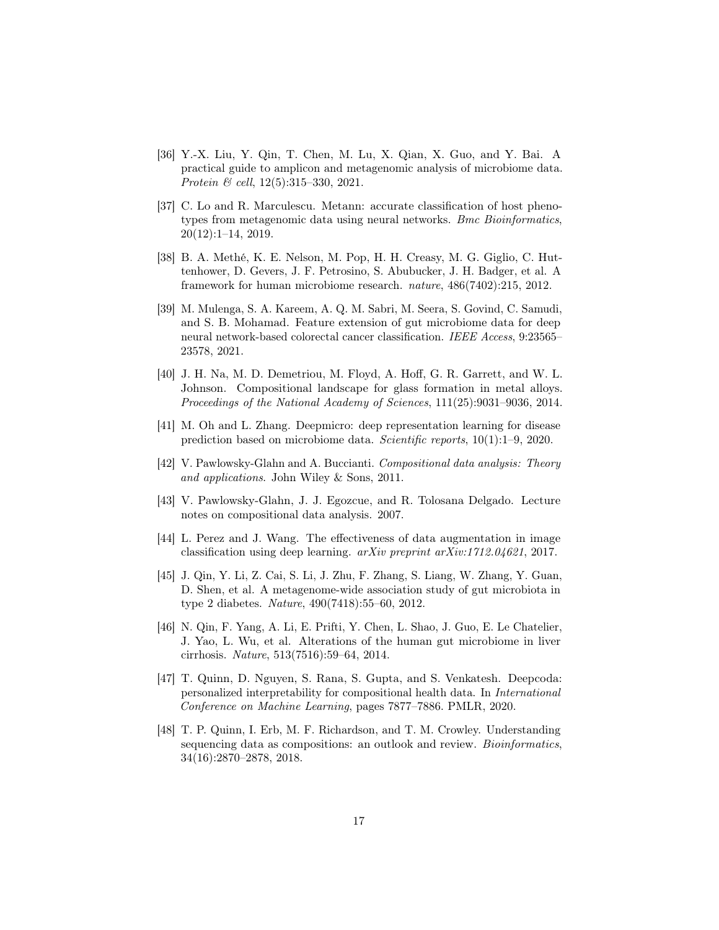- <span id="page-16-10"></span>[36] Y.-X. Liu, Y. Qin, T. Chen, M. Lu, X. Qian, X. Guo, and Y. Bai. A practical guide to amplicon and metagenomic analysis of microbiome data. Protein & cell, 12(5):315–330, 2021.
- <span id="page-16-5"></span>[37] C. Lo and R. Marculescu. Metann: accurate classification of host phenotypes from metagenomic data using neural networks. Bmc Bioinformatics, 20(12):1–14, 2019.
- <span id="page-16-7"></span>[38] B. A. Methé, K. E. Nelson, M. Pop, H. H. Creasy, M. G. Giglio, C. Huttenhower, D. Gevers, J. F. Petrosino, S. Abubucker, J. H. Badger, et al. A framework for human microbiome research. nature, 486(7402):215, 2012.
- <span id="page-16-8"></span>[39] M. Mulenga, S. A. Kareem, A. Q. M. Sabri, M. Seera, S. Govind, C. Samudi, and S. B. Mohamad. Feature extension of gut microbiome data for deep neural network-based colorectal cancer classification. IEEE Access, 9:23565– 23578, 2021.
- <span id="page-16-2"></span>[40] J. H. Na, M. D. Demetriou, M. Floyd, A. Hoff, G. R. Garrett, and W. L. Johnson. Compositional landscape for glass formation in metal alloys. Proceedings of the National Academy of Sciences, 111(25):9031–9036, 2014.
- <span id="page-16-6"></span>[41] M. Oh and L. Zhang. Deepmicro: deep representation learning for disease prediction based on microbiome data. Scientific reports, 10(1):1–9, 2020.
- <span id="page-16-4"></span>[42] V. Pawlowsky-Glahn and A. Buccianti. Compositional data analysis: Theory and applications. John Wiley & Sons, 2011.
- <span id="page-16-3"></span>[43] V. Pawlowsky-Glahn, J. J. Egozcue, and R. Tolosana Delgado. Lecture notes on compositional data analysis. 2007.
- <span id="page-16-0"></span>[44] L. Perez and J. Wang. The effectiveness of data augmentation in image classification using deep learning. arXiv preprint arXiv:1712.04621, 2017.
- <span id="page-16-9"></span>[45] J. Qin, Y. Li, Z. Cai, S. Li, J. Zhu, F. Zhang, S. Liang, W. Zhang, Y. Guan, D. Shen, et al. A metagenome-wide association study of gut microbiota in type 2 diabetes. Nature, 490(7418):55–60, 2012.
- <span id="page-16-12"></span>[46] N. Qin, F. Yang, A. Li, E. Prifti, Y. Chen, L. Shao, J. Guo, E. Le Chatelier, J. Yao, L. Wu, et al. Alterations of the human gut microbiome in liver cirrhosis. Nature, 513(7516):59–64, 2014.
- <span id="page-16-11"></span>[47] T. Quinn, D. Nguyen, S. Rana, S. Gupta, and S. Venkatesh. Deepcoda: personalized interpretability for compositional health data. In International Conference on Machine Learning, pages 7877–7886. PMLR, 2020.
- <span id="page-16-1"></span>[48] T. P. Quinn, I. Erb, M. F. Richardson, and T. M. Crowley. Understanding sequencing data as compositions: an outlook and review. *Bioinformatics*, 34(16):2870–2878, 2018.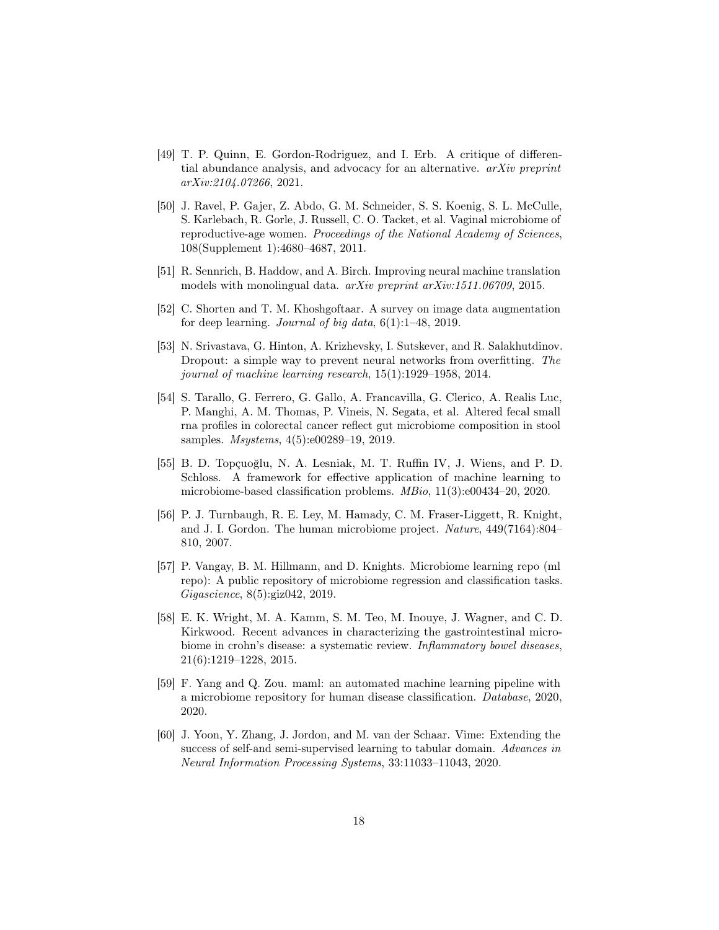- <span id="page-17-4"></span>[49] T. P. Quinn, E. Gordon-Rodriguez, and I. Erb. A critique of differential abundance analysis, and advocacy for an alternative. arXiv preprint arXiv:2104.07266, 2021.
- <span id="page-17-11"></span>[50] J. Ravel, P. Gajer, Z. Abdo, G. M. Schneider, S. S. Koenig, S. L. McCulle, S. Karlebach, R. Gorle, J. Russell, C. O. Tacket, et al. Vaginal microbiome of reproductive-age women. Proceedings of the National Academy of Sciences, 108(Supplement 1):4680–4687, 2011.
- <span id="page-17-1"></span>[51] R. Sennrich, B. Haddow, and A. Birch. Improving neural machine translation models with monolingual data. arXiv preprint arXiv:1511.06709, 2015.
- <span id="page-17-0"></span>[52] C. Shorten and T. M. Khoshgoftaar. A survey on image data augmentation for deep learning. Journal of big data,  $6(1)$ : 1–48, 2019.
- <span id="page-17-10"></span>[53] N. Srivastava, G. Hinton, A. Krizhevsky, I. Sutskever, and R. Salakhutdinov. Dropout: a simple way to prevent neural networks from overfitting. The journal of machine learning research, 15(1):1929–1958, 2014.
- <span id="page-17-5"></span>[54] S. Tarallo, G. Ferrero, G. Gallo, A. Francavilla, G. Clerico, A. Realis Luc, P. Manghi, A. M. Thomas, P. Vineis, N. Segata, et al. Altered fecal small rna profiles in colorectal cancer reflect gut microbiome composition in stool samples. Msystems, 4(5):e00289–19, 2019.
- <span id="page-17-8"></span>[55] B. D. Topçuoğlu, N. A. Lesniak, M. T. Ruffin IV, J. Wiens, and P. D. Schloss. A framework for effective application of machine learning to microbiome-based classification problems. MBio, 11(3):e00434–20, 2020.
- <span id="page-17-3"></span>[56] P. J. Turnbaugh, R. E. Ley, M. Hamady, C. M. Fraser-Liggett, R. Knight, and J. I. Gordon. The human microbiome project. Nature, 449(7164):804– 810, 2007.
- <span id="page-17-7"></span>[57] P. Vangay, B. M. Hillmann, and D. Knights. Microbiome learning repo (ml repo): A public repository of microbiome regression and classification tasks. Gigascience, 8(5):giz042, 2019.
- <span id="page-17-6"></span>[58] E. K. Wright, M. A. Kamm, S. M. Teo, M. Inouye, J. Wagner, and C. D. Kirkwood. Recent advances in characterizing the gastrointestinal microbiome in crohn's disease: a systematic review. Inflammatory bowel diseases, 21(6):1219–1228, 2015.
- <span id="page-17-9"></span>[59] F. Yang and Q. Zou. maml: an automated machine learning pipeline with a microbiome repository for human disease classification. Database, 2020, 2020.
- <span id="page-17-2"></span>[60] J. Yoon, Y. Zhang, J. Jordon, and M. van der Schaar. Vime: Extending the success of self-and semi-supervised learning to tabular domain. Advances in Neural Information Processing Systems, 33:11033–11043, 2020.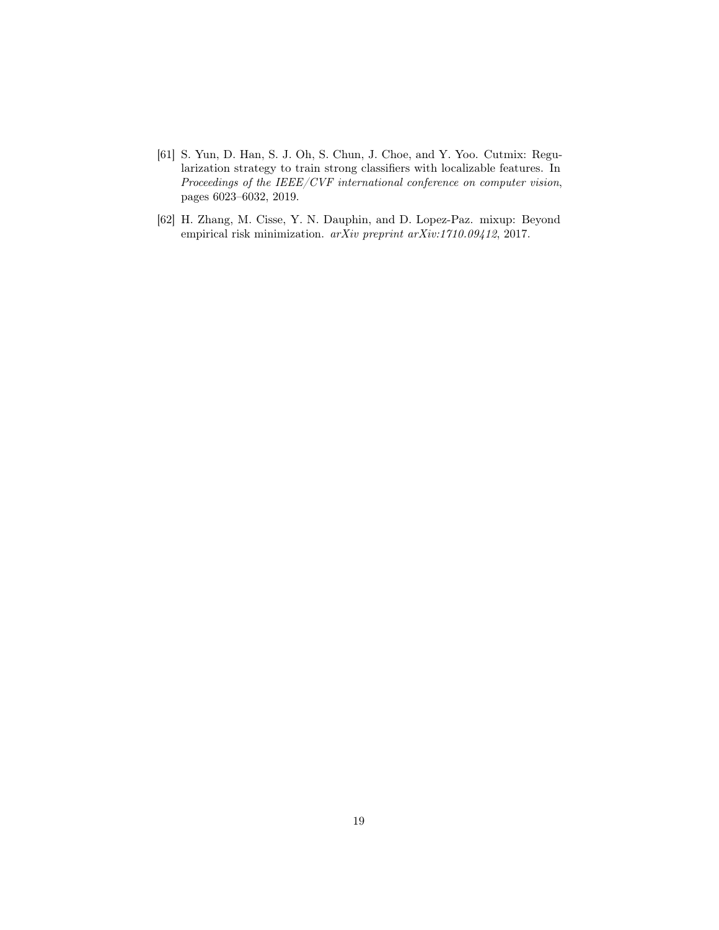- <span id="page-18-1"></span>[61] S. Yun, D. Han, S. J. Oh, S. Chun, J. Choe, and Y. Yoo. Cutmix: Regularization strategy to train strong classifiers with localizable features. In Proceedings of the IEEE/CVF international conference on computer vision, pages 6023–6032, 2019.
- <span id="page-18-0"></span>[62] H. Zhang, M. Cisse, Y. N. Dauphin, and D. Lopez-Paz. mixup: Beyond empirical risk minimization. arXiv preprint arXiv:1710.09412, 2017.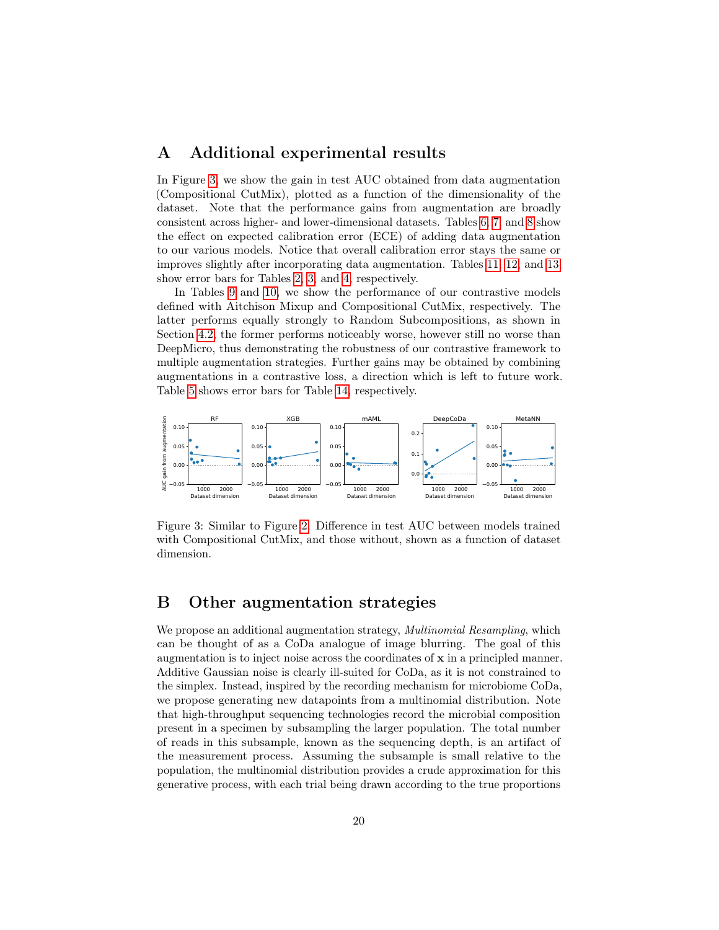#### <span id="page-19-0"></span>A Additional experimental results

In Figure [3,](#page-19-1) we show the gain in test AUC obtained from data augmentation (Compositional CutMix), plotted as a function of the dimensionality of the dataset. Note that the performance gains from augmentation are broadly consistent across higher- and lower-dimensional datasets. Tables [6,](#page-20-0) [7,](#page-21-0) and [8](#page-21-1) show the effect on expected calibration error (ECE) of adding data augmentation to our various models. Notice that overall calibration error stays the same or improves slightly after incorporating data augmentation. Tables [11,](#page-23-0) [12,](#page-23-1) and [13,](#page-23-2) show error bars for Tables [2,](#page-8-0) [3,](#page-9-0) and [4,](#page-9-1) respectively.

In Tables [9](#page-22-0) and [10,](#page-22-1) we show the performance of our contrastive models defined with Aitchison Mixup and Compositional CutMix, respectively. The latter performs equally strongly to Random Subcompositions, as shown in Section [4.2,](#page-10-1) the former performs noticeably worse, however still no worse than DeepMicro, thus demonstrating the robustness of our contrastive framework to multiple augmentation strategies. Further gains may be obtained by combining augmentations in a contrastive loss, a direction which is left to future work. Table [5](#page-12-0) shows error bars for Table [14,](#page-24-0) respectively.



<span id="page-19-1"></span>Figure 3: Similar to Figure [2.](#page-10-0) Difference in test AUC between models trained with Compositional CutMix, and those without, shown as a function of dataset dimension.

### B Other augmentation strategies

We propose an additional augmentation strategy, *Multinomial Resampling*, which can be thought of as a CoDa analogue of image blurring. The goal of this augmentation is to inject noise across the coordinates of x in a principled manner. Additive Gaussian noise is clearly ill-suited for CoDa, as it is not constrained to the simplex. Instead, inspired by the recording mechanism for microbiome CoDa, we propose generating new datapoints from a multinomial distribution. Note that high-throughput sequencing technologies record the microbial composition present in a specimen by subsampling the larger population. The total number of reads in this subsample, known as the sequencing depth, is an artifact of the measurement process. Assuming the subsample is small relative to the population, the multinomial distribution provides a crude approximation for this generative process, with each trial being drawn according to the true proportions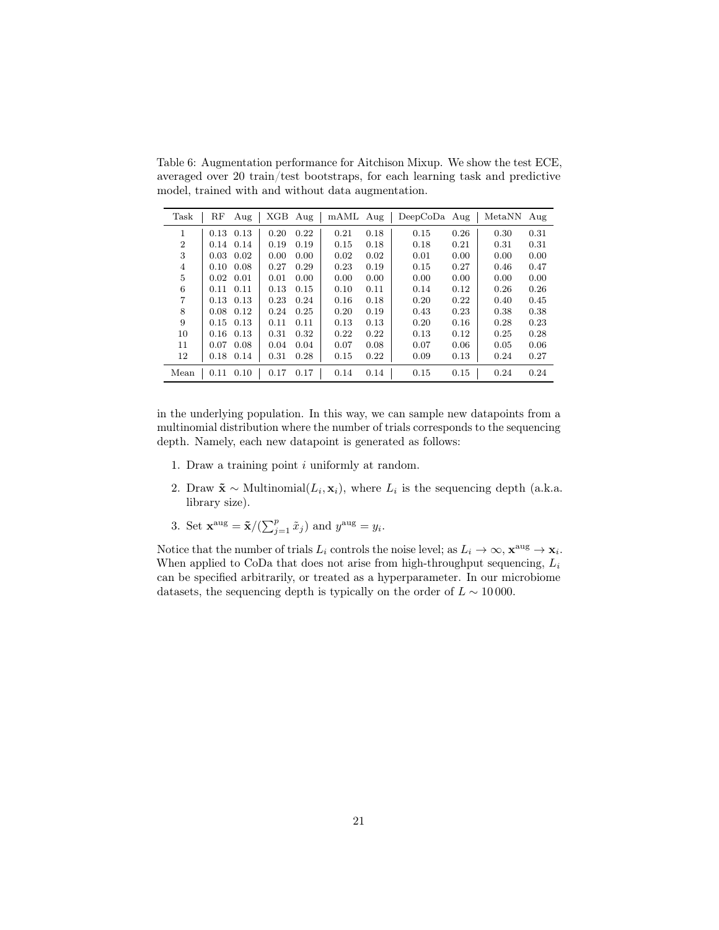<span id="page-20-0"></span>Table 6: Augmentation performance for Aitchison Mixup. We show the test ECE, averaged over 20 train/test bootstraps, for each learning task and predictive model, trained with and without data augmentation.

| Task           | $_{\rm RF}$ | Aug               | XGB Aug |      | mAML Aug |      | $DeepCoDa$ Aug |      | MetaNN | Aug  |
|----------------|-------------|-------------------|---------|------|----------|------|----------------|------|--------|------|
| 1              |             | $0.13$ $0.13$     | 0.20    | 0.22 | 0.21     | 0.18 | 0.15           | 0.26 | 0.30   | 0.31 |
| $\overline{2}$ |             | $0.14$ $0.14$     | 0.19    | 0.19 | 0.15     | 0.18 | 0.18           | 0.21 | 0.31   | 0.31 |
| 3              | 0.03        | 0.02              | 0.00    | 0.00 | 0.02     | 0.02 | 0.01           | 0.00 | 0.00   | 0.00 |
| 4              |             | $0.10 \quad 0.08$ | 0.27    | 0.29 | 0.23     | 0.19 | 0.15           | 0.27 | 0.46   | 0.47 |
| 5              | 0.02        | 0.01              | 0.01    | 0.00 | 0.00     | 0.00 | 0.00           | 0.00 | 0.00   | 0.00 |
| 6              | 0.11        | 0.11              | 0.13    | 0.15 | 0.10     | 0.11 | 0.14           | 0.12 | 0.26   | 0.26 |
| 7              |             | $0.13$ $0.13$     | 0.23    | 0.24 | 0.16     | 0.18 | 0.20           | 0.22 | 0.40   | 0.45 |
| 8              | 0.08        | 0.12              | 0.24    | 0.25 | 0.20     | 0.19 | 0.43           | 0.23 | 0.38   | 0.38 |
| 9              |             | $0.15 \quad 0.13$ | 0.11    | 0.11 | 0.13     | 0.13 | 0.20           | 0.16 | 0.28   | 0.23 |
| 10             | 0.16        | 0.13              | 0.31    | 0.32 | 0.22     | 0.22 | 0.13           | 0.12 | 0.25   | 0.28 |
| 11             | 0.07        | 0.08              | 0.04    | 0.04 | 0.07     | 0.08 | 0.07           | 0.06 | 0.05   | 0.06 |
| 12             |             | 0.18 0.14         | 0.31    | 0.28 | 0.15     | 0.22 | 0.09           | 0.13 | 0.24   | 0.27 |
| Mean           |             | $0.11$ $0.10$     | 0.17    | 0.17 | 0.14     | 0.14 | 0.15           | 0.15 | 0.24   | 0.24 |

in the underlying population. In this way, we can sample new datapoints from a multinomial distribution where the number of trials corresponds to the sequencing depth. Namely, each new datapoint is generated as follows:

- 1. Draw a training point i uniformly at random.
- 2. Draw  $\tilde{\mathbf{x}} \sim \text{Multinomial}(L_i, \mathbf{x}_i)$ , where  $L_i$  is the sequencing depth (a.k.a. library size).
- 3. Set  $\mathbf{x}^{\text{aug}} = \tilde{\mathbf{x}} / (\sum_{j=1}^{p} \tilde{x}_j)$  and  $y^{\text{aug}} = y_i$ .

Notice that the number of trials  $L_i$  controls the noise level; as  $L_i \to \infty$ ,  $\mathbf{x}^{\text{aug}} \to \mathbf{x}_i$ . When applied to CoDa that does not arise from high-throughput sequencing,  $L_i$ can be specified arbitrarily, or treated as a hyperparameter. In our microbiome datasets, the sequencing depth is typically on the order of  $L \sim 10000$ .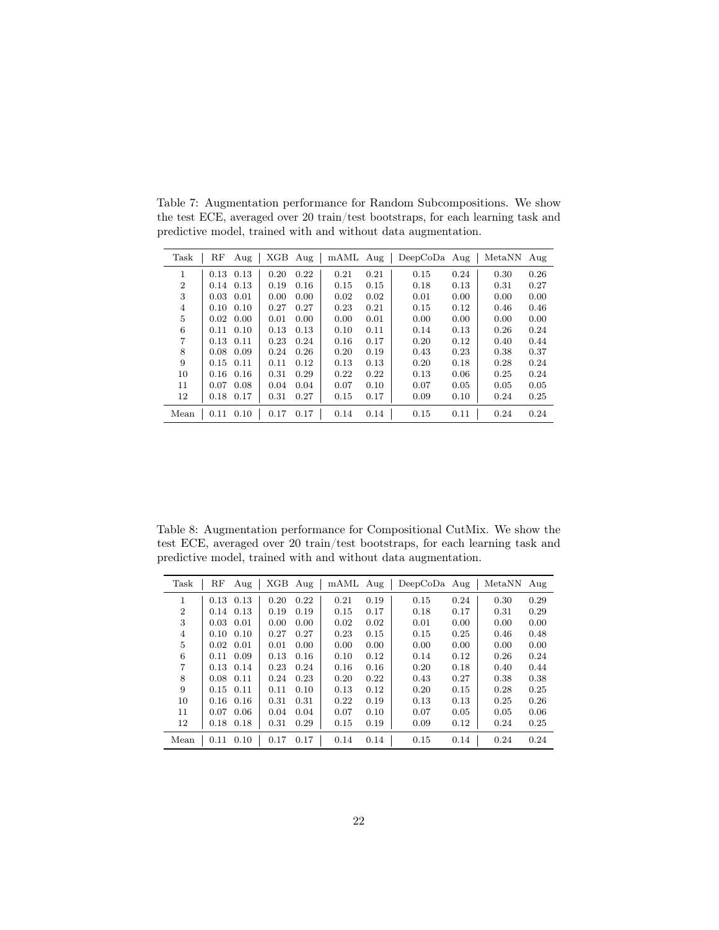| Task           | RF   | Aug               | XGB  | Aug  | mAML Aug |      | $DeepCoDa$ Aug |      | MetaNN Aug |      |
|----------------|------|-------------------|------|------|----------|------|----------------|------|------------|------|
| 1              | 0.13 | 0.13              | 0.20 | 0.22 | 0.21     | 0.21 | 0.15           | 0.24 | 0.30       | 0.26 |
| $\overline{2}$ | 0.14 | 0.13              | 0.19 | 0.16 | 0.15     | 0.15 | 0.18           | 0.13 | 0.31       | 0.27 |
| 3              | 0.03 | 0.01              | 0.00 | 0.00 | 0.02     | 0.02 | 0.01           | 0.00 | 0.00       | 0.00 |
| 4              | 0.10 | 0.10              | 0.27 | 0.27 | 0.23     | 0.21 | 0.15           | 0.12 | 0.46       | 0.46 |
| 5              |      | $0.02 \quad 0.00$ | 0.01 | 0.00 | 0.00     | 0.01 | 0.00           | 0.00 | 0.00       | 0.00 |
| 6              | 0.11 | 0.10              | 0.13 | 0.13 | 0.10     | 0.11 | 0.14           | 0.13 | 0.26       | 0.24 |
| 7              |      | $0.13$ $0.11$     | 0.23 | 0.24 | 0.16     | 0.17 | 0.20           | 0.12 | 0.40       | 0.44 |
| 8              | 0.08 | 0.09              | 0.24 | 0.26 | 0.20     | 0.19 | 0.43           | 0.23 | 0.38       | 0.37 |
| 9              |      | $0.15$ $0.11$     | 0.11 | 0.12 | 0.13     | 0.13 | 0.20           | 0.18 | 0.28       | 0.24 |
| 10             | 0.16 | 0.16              | 0.31 | 0.29 | 0.22     | 0.22 | 0.13           | 0.06 | 0.25       | 0.24 |
| 11             | 0.07 | 0.08              | 0.04 | 0.04 | 0.07     | 0.10 | 0.07           | 0.05 | 0.05       | 0.05 |
| 12             | 0.18 | 0.17              | 0.31 | 0.27 | 0.15     | 0.17 | 0.09           | 0.10 | 0.24       | 0.25 |
| Mean           | 0.11 | 0.10              | 0.17 | 0.17 | 0.14     | 0.14 | 0.15           | 0.11 | 0.24       | 0.24 |

<span id="page-21-0"></span>Table 7: Augmentation performance for Random Subcompositions. We show the test ECE, averaged over 20 train/test bootstraps, for each learning task and predictive model, trained with and without data augmentation.

<span id="page-21-1"></span>Table 8: Augmentation performance for Compositional CutMix. We show the test ECE, averaged over 20 train/test bootstraps, for each learning task and predictive model, trained with and without data augmentation.

| Task           | RF   | Aug  | XGB  | Aug  | mAML Aug |      | $DeepCoDa$ Aug |      | MetaNN | Aug  |
|----------------|------|------|------|------|----------|------|----------------|------|--------|------|
| 1              | 0.13 | 0.13 | 0.20 | 0.22 | 0.21     | 0.19 | 0.15           | 0.24 | 0.30   | 0.29 |
| $\overline{2}$ | 0.14 | 0.13 | 0.19 | 0.19 | 0.15     | 0.17 | 0.18           | 0.17 | 0.31   | 0.29 |
| 3              | 0.03 | 0.01 | 0.00 | 0.00 | 0.02     | 0.02 | 0.01           | 0.00 | 0.00   | 0.00 |
| 4              | 0.10 | 0.10 | 0.27 | 0.27 | 0.23     | 0.15 | 0.15           | 0.25 | 0.46   | 0.48 |
| 5              | 0.02 | 0.01 | 0.01 | 0.00 | 0.00     | 0.00 | 0.00           | 0.00 | 0.00   | 0.00 |
| 6              | 0.11 | 0.09 | 0.13 | 0.16 | 0.10     | 0.12 | 0.14           | 0.12 | 0.26   | 0.24 |
| $\overline{7}$ | 0.13 | 0.14 | 0.23 | 0.24 | 0.16     | 0.16 | 0.20           | 0.18 | 0.40   | 0.44 |
| 8              | 0.08 | 0.11 | 0.24 | 0.23 | 0.20     | 0.22 | 0.43           | 0.27 | 0.38   | 0.38 |
| 9              | 0.15 | 0.11 | 0.11 | 0.10 | 0.13     | 0.12 | 0.20           | 0.15 | 0.28   | 0.25 |
| 10             | 0.16 | 0.16 | 0.31 | 0.31 | 0.22     | 0.19 | 0.13           | 0.13 | 0.25   | 0.26 |
| 11             | 0.07 | 0.06 | 0.04 | 0.04 | 0.07     | 0.10 | 0.07           | 0.05 | 0.05   | 0.06 |
| 12             | 0.18 | 0.18 | 0.31 | 0.29 | 0.15     | 0.19 | 0.09           | 0.12 | 0.24   | 0.25 |
| Mean           | 0.11 | 0.10 | 0.17 | 0.17 | 0.14     | 0.14 | 0.15           | 0.14 | 0.24   | 0.24 |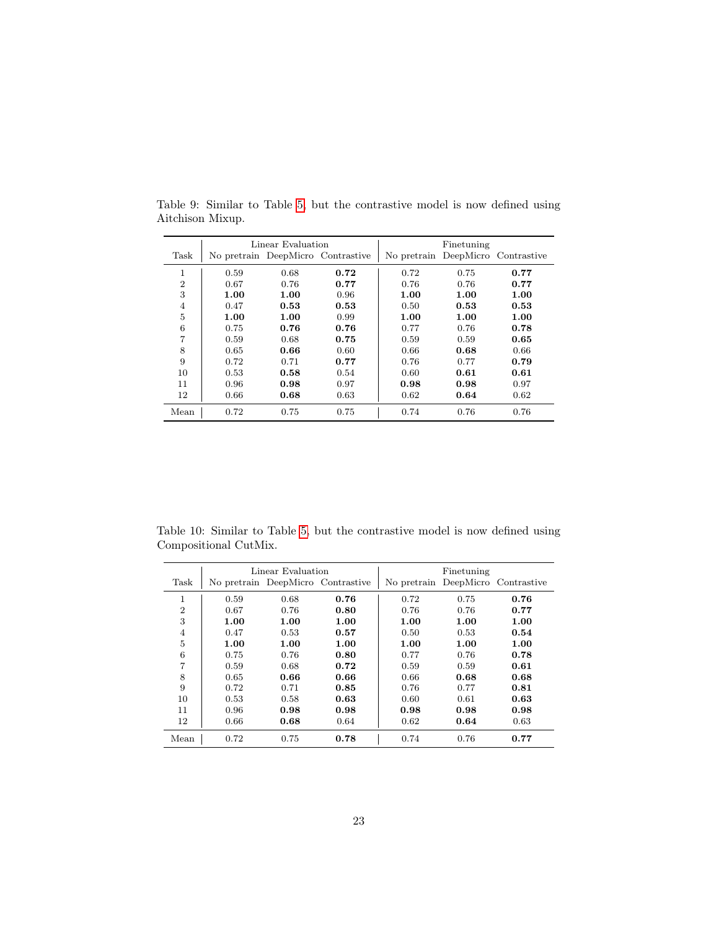|                |      | Linear Evaluation |                                   | Finetuning |      |                                   |  |
|----------------|------|-------------------|-----------------------------------|------------|------|-----------------------------------|--|
| Task           |      |                   | No pretrain DeepMicro Contrastive |            |      | No pretrain DeepMicro Contrastive |  |
| 1<br>T         | 0.59 | 0.68              | 0.72                              | 0.72       | 0.75 | 0.77                              |  |
| $\overline{2}$ | 0.67 | 0.76              | 0.77                              | 0.76       | 0.76 | 0.77                              |  |
| 3              | 1.00 | 1.00              | 0.96                              | 1.00       | 1.00 | 1.00                              |  |
| $\overline{4}$ | 0.47 | 0.53              | 0.53                              | 0.50       | 0.53 | 0.53                              |  |
| 5              | 1.00 | 1.00              | 0.99                              | 1.00       | 1.00 | 1.00                              |  |
| 6              | 0.75 | 0.76              | 0.76                              | 0.77       | 0.76 | 0.78                              |  |
| 7              | 0.59 | 0.68              | 0.75                              | 0.59       | 0.59 | 0.65                              |  |
| 8              | 0.65 | 0.66              | 0.60                              | 0.66       | 0.68 | 0.66                              |  |
| 9              | 0.72 | 0.71              | 0.77                              | 0.76       | 0.77 | 0.79                              |  |
| 10             | 0.53 | 0.58              | 0.54                              | 0.60       | 0.61 | 0.61                              |  |
| 11             | 0.96 | 0.98              | 0.97                              | 0.98       | 0.98 | 0.97                              |  |
| 12             | 0.66 | 0.68              | 0.63                              | 0.62       | 0.64 | 0.62                              |  |
| Mean           | 0.72 | 0.75              | 0.75                              | 0.74       | 0.76 | 0.76                              |  |

<span id="page-22-0"></span>Table 9: Similar to Table [5,](#page-12-0) but the contrastive model is now defined using Aitchison Mixup.

<span id="page-22-1"></span>Table 10: Similar to Table [5,](#page-12-0) but the contrastive model is now defined using Compositional CutMix.

|                |      | Linear Evaluation |                                   | Finetuning                        |      |      |  |
|----------------|------|-------------------|-----------------------------------|-----------------------------------|------|------|--|
| Task           |      |                   | No pretrain DeepMicro Contrastive | No pretrain DeepMicro Contrastive |      |      |  |
| 1              | 0.59 | 0.68              | 0.76                              | 0.72                              | 0.75 | 0.76 |  |
| $\overline{2}$ | 0.67 | 0.76              | 0.80                              | 0.76                              | 0.76 | 0.77 |  |
| 3              | 1.00 | 1.00              | 1.00                              | 1.00                              | 1.00 | 1.00 |  |
| $\overline{4}$ | 0.47 | 0.53              | 0.57                              | 0.50                              | 0.53 | 0.54 |  |
| 5              | 1.00 | 1.00              | 1.00                              | 1.00                              | 1.00 | 1.00 |  |
| 6              | 0.75 | 0.76              | 0.80                              | 0.77                              | 0.76 | 0.78 |  |
| 7              | 0.59 | 0.68              | 0.72                              | 0.59                              | 0.59 | 0.61 |  |
| 8              | 0.65 | 0.66              | 0.66                              | 0.66                              | 0.68 | 0.68 |  |
| 9              | 0.72 | 0.71              | 0.85                              | 0.76                              | 0.77 | 0.81 |  |
| 10             | 0.53 | 0.58              | 0.63                              | 0.60                              | 0.61 | 0.63 |  |
| 11             | 0.96 | 0.98              | 0.98                              | 0.98                              | 0.98 | 0.98 |  |
| 12             | 0.66 | 0.68              | 0.64                              | 0.62                              | 0.64 | 0.63 |  |
| Mean           | 0.72 | 0.75              | 0.78                              | 0.74                              | 0.76 | 0.77 |  |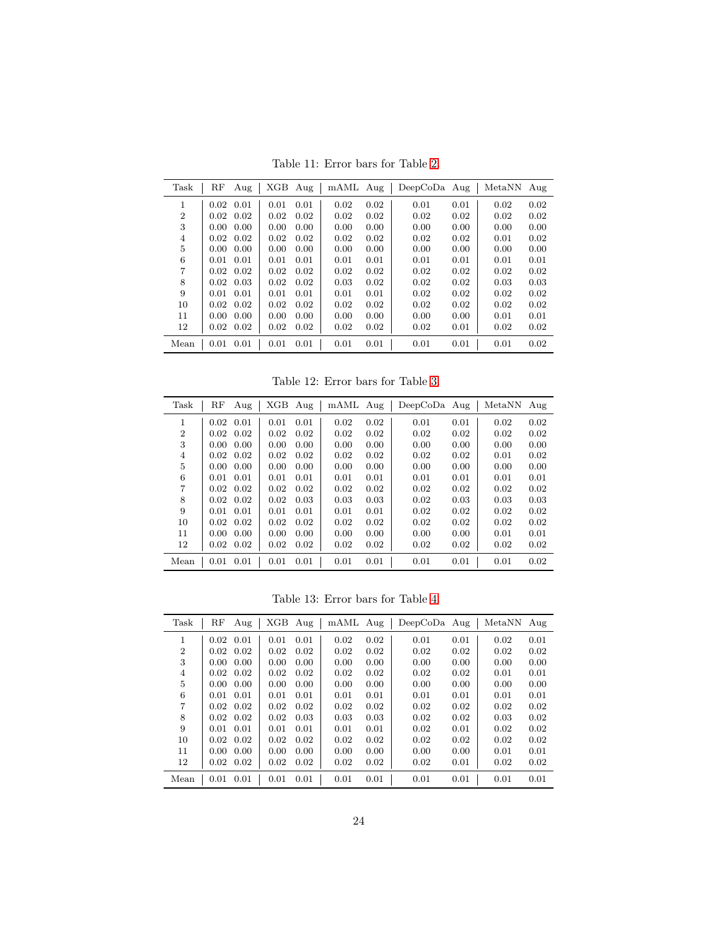<span id="page-23-0"></span>Table 11: Error bars for Table [2.](#page-8-0)

| Task           | RF    | Aug               | XGB  | Aug  | mAML Aug |      | $DeepCoDa$ Aug |      | MetaNN | Aug  |
|----------------|-------|-------------------|------|------|----------|------|----------------|------|--------|------|
| 1              | 0.02  | 0.01              | 0.01 | 0.01 | 0.02     | 0.02 | 0.01           | 0.01 | 0.02   | 0.02 |
| $\overline{2}$ | 0.02  | 0.02              | 0.02 | 0.02 | 0.02     | 0.02 | 0.02           | 0.02 | 0.02   | 0.02 |
| 3              | 0.00. | 0.00              | 0.00 | 0.00 | 0.00     | 0.00 | 0.00           | 0.00 | 0.00   | 0.00 |
| 4              | 0.02  | 0.02              | 0.02 | 0.02 | 0.02     | 0.02 | 0.02           | 0.02 | 0.01   | 0.02 |
| 5              | 0.00. | 0.00              | 0.00 | 0.00 | 0.00     | 0.00 | 0.00           | 0.00 | 0.00   | 0.00 |
| 6              | 0.01  | 0.01              | 0.01 | 0.01 | 0.01     | 0.01 | 0.01           | 0.01 | 0.01   | 0.01 |
| 7              | 0.02  | 0.02              | 0.02 | 0.02 | 0.02     | 0.02 | 0.02           | 0.02 | 0.02   | 0.02 |
| 8              | 0.02  | 0.03              | 0.02 | 0.02 | 0.03     | 0.02 | 0.02           | 0.02 | 0.03   | 0.03 |
| 9              | 0.01  | 0.01              | 0.01 | 0.01 | 0.01     | 0.01 | 0.02           | 0.02 | 0.02   | 0.02 |
| 10             | 0.02  | 0.02              | 0.02 | 0.02 | 0.02     | 0.02 | 0.02           | 0.02 | 0.02   | 0.02 |
| 11             | 0.00. | 0.00              | 0.00 | 0.00 | 0.00     | 0.00 | 0.00           | 0.00 | 0.01   | 0.01 |
| 12             |       | $0.02 \quad 0.02$ | 0.02 | 0.02 | 0.02     | 0.02 | 0.02           | 0.01 | 0.02   | 0.02 |
| Mean           | 0.01  | 0.01              | 0.01 | 0.01 | 0.01     | 0.01 | 0.01           | 0.01 | 0.01   | 0.02 |

<span id="page-23-1"></span>Table 12: Error bars for Table [3.](#page-9-0)

| Task           | RF             | Aug  | XGB  | Aug  | mAML Aug |      | $DeepCoDa$ Aug |      | MetaNN | Aug  |
|----------------|----------------|------|------|------|----------|------|----------------|------|--------|------|
| 1              | 0.02           | 0.01 | 0.01 | 0.01 | 0.02     | 0.02 | 0.01           | 0.01 | 0.02   | 0.02 |
| $\overline{2}$ | 0.02           | 0.02 | 0.02 | 0.02 | 0.02     | 0.02 | 0.02           | 0.02 | 0.02   | 0.02 |
| 3              | $0.00^{\circ}$ | 0.00 | 0.00 | 0.00 | 0.00     | 0.00 | 0.00           | 0.00 | 0.00   | 0.00 |
| 4              | 0.02           | 0.02 | 0.02 | 0.02 | 0.02     | 0.02 | 0.02           | 0.02 | 0.01   | 0.02 |
| 5              | 0.00.          | 0.00 | 0.00 | 0.00 | 0.00     | 0.00 | 0.00           | 0.00 | 0.00   | 0.00 |
| 6              | 0.01           | 0.01 | 0.01 | 0.01 | 0.01     | 0.01 | 0.01           | 0.01 | 0.01   | 0.01 |
| 7              | 0.02           | 0.02 | 0.02 | 0.02 | 0.02     | 0.02 | 0.02           | 0.02 | 0.02   | 0.02 |
| 8              | 0.02           | 0.02 | 0.02 | 0.03 | 0.03     | 0.03 | 0.02           | 0.03 | 0.03   | 0.03 |
| 9              | 0.01           | 0.01 | 0.01 | 0.01 | 0.01     | 0.01 | 0.02           | 0.02 | 0.02   | 0.02 |
| 10             | 0.02           | 0.02 | 0.02 | 0.02 | 0.02     | 0.02 | 0.02           | 0.02 | 0.02   | 0.02 |
| 11             | 0.00.          | 0.00 | 0.00 | 0.00 | 0.00     | 0.00 | 0.00           | 0.00 | 0.01   | 0.01 |
| 12             | 0.02           | 0.02 | 0.02 | 0.02 | 0.02     | 0.02 | 0.02           | 0.02 | 0.02   | 0.02 |
| Mean           | 0.01           | 0.01 | 0.01 | 0.01 | 0.01     | 0.01 | 0.01           | 0.01 | 0.01   | 0.02 |

<span id="page-23-2"></span>Table 13: Error bars for Table [4.](#page-9-1)

| Task           | RF   | Aug               | XGB  | Aug  | mAML Aug |      | $DeepCoDa$ Aug |      | MetaNN | Aug  |
|----------------|------|-------------------|------|------|----------|------|----------------|------|--------|------|
| 1              | 0.02 | 0.01              | 0.01 | 0.01 | 0.02     | 0.02 | 0.01           | 0.01 | 0.02   | 0.01 |
| $\overline{2}$ | 0.02 | 0.02              | 0.02 | 0.02 | 0.02     | 0.02 | 0.02           | 0.02 | 0.02   | 0.02 |
| 3              | 0.00 | 0.00              | 0.00 | 0.00 | 0.00     | 0.00 | 0.00           | 0.00 | 0.00   | 0.00 |
| $\overline{4}$ | 0.02 | 0.02              | 0.02 | 0.02 | 0.02     | 0.02 | 0.02           | 0.02 | 0.01   | 0.01 |
| 5              | 0.00 | 0.00              | 0.00 | 0.00 | 0.00     | 0.00 | 0.00           | 0.00 | 0.00   | 0.00 |
| 6              | 0.01 | 0.01              | 0.01 | 0.01 | 0.01     | 0.01 | 0.01           | 0.01 | 0.01   | 0.01 |
| 7              | 0.02 | 0.02              | 0.02 | 0.02 | 0.02     | 0.02 | 0.02           | 0.02 | 0.02   | 0.02 |
| 8              |      | $0.02 \quad 0.02$ | 0.02 | 0.03 | 0.03     | 0.03 | 0.02           | 0.02 | 0.03   | 0.02 |
| 9              | 0.01 | 0.01              | 0.01 | 0.01 | 0.01     | 0.01 | 0.02           | 0.01 | 0.02   | 0.02 |
| 10             | 0.02 | 0.02              | 0.02 | 0.02 | 0.02     | 0.02 | 0.02           | 0.02 | 0.02   | 0.02 |
| 11             | 0.00 | 0.00              | 0.00 | 0.00 | 0.00     | 0.00 | 0.00           | 0.00 | 0.01   | 0.01 |
| 12             | 0.02 | 0.02              | 0.02 | 0.02 | 0.02     | 0.02 | 0.02           | 0.01 | 0.02   | 0.02 |
| Mean           | 0.01 | 0.01              | 0.01 | 0.01 | 0.01     | 0.01 | 0.01           | 0.01 | 0.01   | 0.01 |